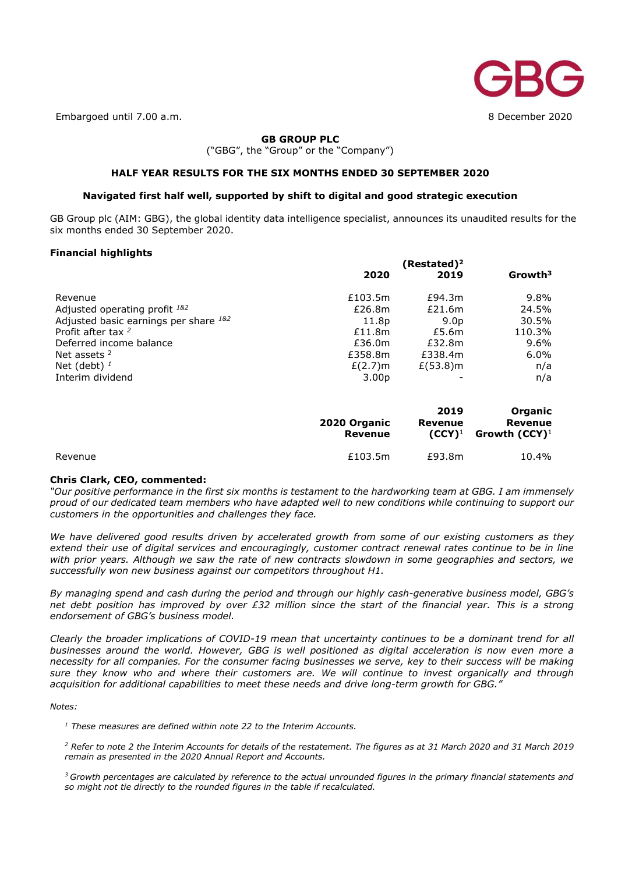

Embargoed until 7.00 a.m. 8 December 2020

## **GB GROUP PLC**

("GBG", the "Group" or the "Company")

## **HALF YEAR RESULTS FOR THE SIX MONTHS ENDED 30 SEPTEMBER 2020**

## **Navigated first half well, supported by shift to digital and good strategic execution**

GB Group plc (AIM: GBG), the global identity data intelligence specialist, announces its unaudited results for the six months ended 30 September 2020.

## **Financial highlights**

|                                       | (Restated) <sup>2</sup> |                  |               |
|---------------------------------------|-------------------------|------------------|---------------|
|                                       | 2020                    | 2019             | $G$ rowth $3$ |
| Revenue                               | £103.5m                 | £94.3m           | $9.8\%$       |
| Adjusted operating profit 182         | £26.8m                  | £21.6m           | 24.5%         |
| Adjusted basic earnings per share 182 | 11.8p                   | 9.0 <sub>D</sub> | 30.5%         |
| Profit after tax $2$                  | £11.8m                  | £5.6m            | 110.3%        |
| Deferred income balance               | £36.0m                  | £32.8m           | $9.6\%$       |
| Net assets 2                          | £358.8m                 | £338.4m          | $6.0\%$       |
| Net (debt) $1$                        | $E(2.7)$ m              | $E(53.8)$ m      | n/a           |
| Interim dividend                      | 3.00 <sub>p</sub>       |                  | n/a           |

|         | 2020 Organic<br>Revenue | 2019<br>Revenue<br>$(CCY)^1$ | Organic<br>Revenue<br>Growth (CCY) $^1$ |
|---------|-------------------------|------------------------------|-----------------------------------------|
| Revenue | £103.5m                 | £93.8m                       | 10.4%                                   |

## **Chris Clark, CEO, commented:**

*"Our positive performance in the first six months is testament to the hardworking team at GBG. I am immensely proud of our dedicated team members who have adapted well to new conditions while continuing to support our customers in the opportunities and challenges they face.*

*We have delivered good results driven by accelerated growth from some of our existing customers as they extend their use of digital services and encouragingly, customer contract renewal rates continue to be in line with prior years. Although we saw the rate of new contracts slowdown in some geographies and sectors, we successfully won new business against our competitors throughout H1.* 

*By managing spend and cash during the period and through our highly cash-generative business model, GBG's net debt position has improved by over £32 million since the start of the financial year. This is a strong endorsement of GBG's business model.* 

*Clearly the broader implications of COVID-19 mean that uncertainty continues to be a dominant trend for all businesses around the world. However, GBG is well positioned as digital acceleration is now even more a necessity for all companies. For the consumer facing businesses we serve, key to their success will be making sure they know who and where their customers are. We will continue to invest organically and through acquisition for additional capabilities to meet these needs and drive long-term growth for GBG."*

## *Notes:*

*<sup>1</sup> These measures are defined within note 22 to the Interim Accounts.*

*<sup>2</sup> Refer to note 2 the Interim Accounts for details of the restatement. The figures as at 31 March 2020 and 31 March 2019 remain as presented in the 2020 Annual Report and Accounts.*

*<sup>3</sup>Growth percentages are calculated by reference to the actual unrounded figures in the primary financial statements and so might not tie directly to the rounded figures in the table if recalculated.*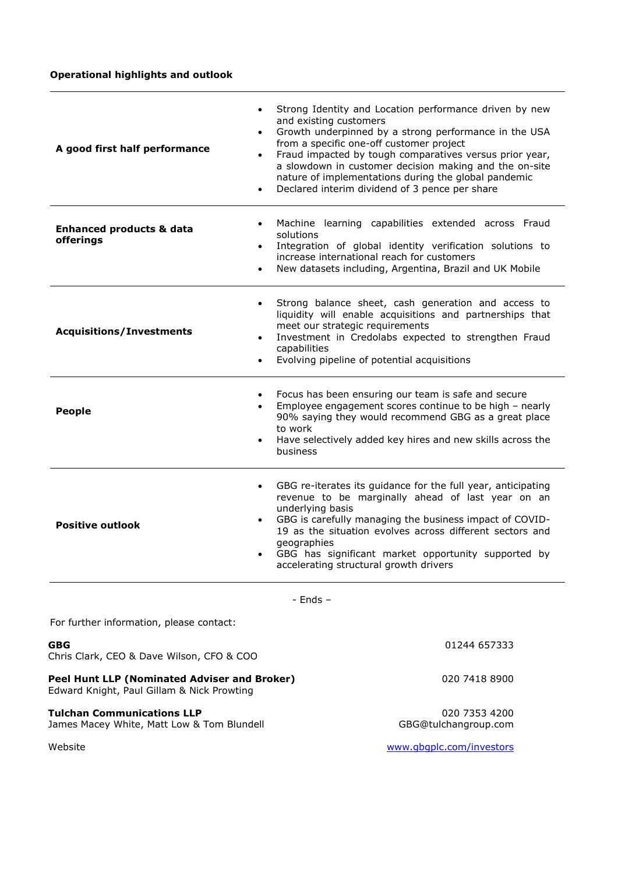## **Operational highlights and outlook**

| $\bullet$<br>A good first half performance                                              | Strong Identity and Location performance driven by new<br>and existing customers<br>Growth underpinned by a strong performance in the USA<br>$\bullet$<br>from a specific one-off customer project<br>Fraud impacted by tough comparatives versus prior year,<br>$\bullet$<br>a slowdown in customer decision making and the on-site<br>nature of implementations during the global pandemic<br>Declared interim dividend of 3 pence per share |
|-----------------------------------------------------------------------------------------|------------------------------------------------------------------------------------------------------------------------------------------------------------------------------------------------------------------------------------------------------------------------------------------------------------------------------------------------------------------------------------------------------------------------------------------------|
| $\bullet$<br><b>Enhanced products &amp; data</b><br>offerings<br>$\bullet$<br>$\bullet$ | Machine learning capabilities extended across Fraud<br>solutions<br>Integration of global identity verification solutions to<br>increase international reach for customers<br>New datasets including, Argentina, Brazil and UK Mobile                                                                                                                                                                                                          |
| $\bullet$<br><b>Acquisitions/Investments</b><br>$\bullet$                               | Strong balance sheet, cash generation and access to<br>liquidity will enable acquisitions and partnerships that<br>meet our strategic requirements<br>Investment in Credolabs expected to strengthen Fraud<br>capabilities<br>Evolving pipeline of potential acquisitions                                                                                                                                                                      |
| $\bullet$<br><b>People</b>                                                              | Focus has been ensuring our team is safe and secure<br>Employee engagement scores continue to be high - nearly<br>90% saying they would recommend GBG as a great place<br>to work<br>Have selectively added key hires and new skills across the<br>$\bullet$<br>business                                                                                                                                                                       |
| $\bullet$<br><b>Positive outlook</b><br>$\bullet$                                       | GBG re-iterates its guidance for the full year, anticipating<br>revenue to be marginally ahead of last year on an<br>underlying basis<br>GBG is carefully managing the business impact of COVID-<br>$\bullet$<br>19 as the situation evolves across different sectors and<br>geographies<br>GBG has significant market opportunity supported by<br>accelerating structural growth drivers                                                      |

- Ends –

| For further information, please contact:                                                   |                                       |
|--------------------------------------------------------------------------------------------|---------------------------------------|
| <b>GBG</b><br>Chris Clark, CEO & Dave Wilson, CFO & COO                                    | 01244 657333                          |
| Peel Hunt LLP (Nominated Adviser and Broker)<br>Edward Knight, Paul Gillam & Nick Prowting | 020 7418 8900                         |
| <b>Tulchan Communications LLP</b><br>James Macey White, Matt Low & Tom Blundell            | 020 7353 4200<br>GBG@tulchangroup.com |

Website www.gbgplc.com/investors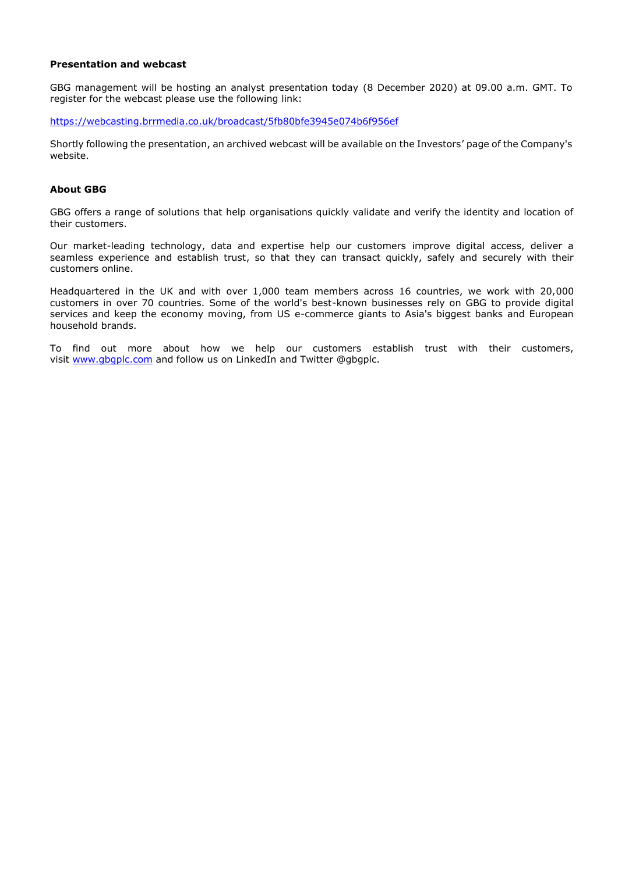## **Presentation and webcast**

GBG management will be hosting an analyst presentation today (8 December 2020) at 09.00 a.m. GMT. To register for the webcast please use the following link:

<https://webcasting.brrmedia.co.uk/broadcast/5fb80bfe3945e074b6f956ef>

Shortly following the presentation, an archived webcast will be available on the Investors' page of the Company's website.

## **About GBG**

GBG offers a range of solutions that help organisations quickly validate and verify the identity and location of their customers.

Our market-leading technology, data and expertise help our customers improve digital access, deliver a seamless experience and establish trust, so that they can transact quickly, safely and securely with their customers online.

Headquartered in the UK and with over 1,000 team members across 16 countries, we work with 20,000 customers in over 70 countries. Some of the world's best-known businesses rely on GBG to provide digital services and keep the economy moving, from US e-commerce giants to Asia's biggest banks and European household brands. 

To find out more about how we help our customers establish trust with their customers, visit [www.gbgplc.com](http://www.gbgplc.com/) and follow us on LinkedIn and Twitter @gbgplc.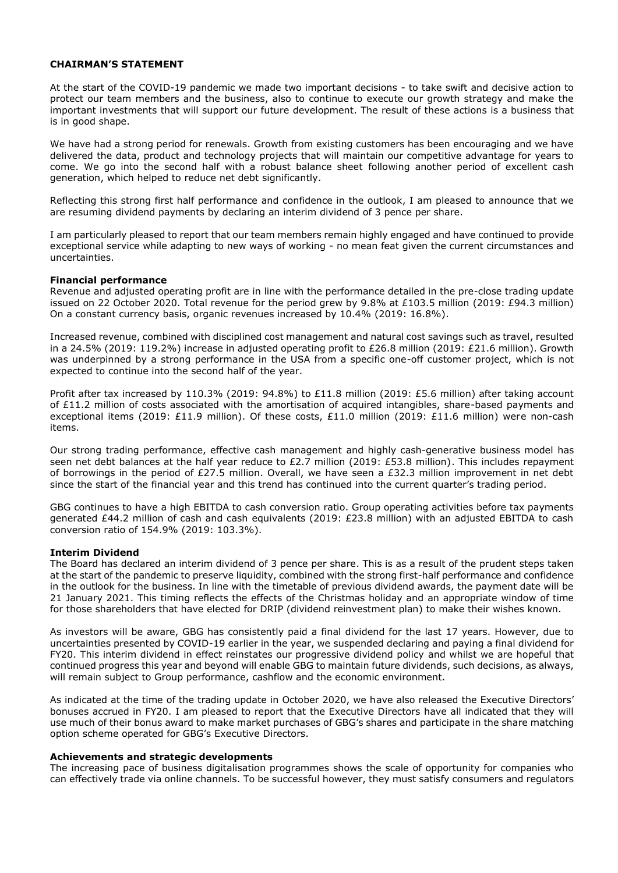## **CHAIRMAN'S STATEMENT**

At the start of the COVID-19 pandemic we made two important decisions - to take swift and decisive action to protect our team members and the business, also to continue to execute our growth strategy and make the important investments that will support our future development. The result of these actions is a business that is in good shape.

We have had a strong period for renewals. Growth from existing customers has been encouraging and we have delivered the data, product and technology projects that will maintain our competitive advantage for years to come. We go into the second half with a robust balance sheet following another period of excellent cash generation, which helped to reduce net debt significantly.

Reflecting this strong first half performance and confidence in the outlook, I am pleased to announce that we are resuming dividend payments by declaring an interim dividend of 3 pence per share.

I am particularly pleased to report that our team members remain highly engaged and have continued to provide exceptional service while adapting to new ways of working - no mean feat given the current circumstances and uncertainties.

## **Financial performance**

Revenue and adjusted operating profit are in line with the performance detailed in the pre-close trading update issued on 22 October 2020. Total revenue for the period grew by 9.8% at £103.5 million (2019: £94.3 million) On a constant currency basis, organic revenues increased by 10.4% (2019: 16.8%).

Increased revenue, combined with disciplined cost management and natural cost savings such as travel, resulted in a 24.5% (2019: 119.2%) increase in adjusted operating profit to £26.8 million (2019: £21.6 million). Growth was underpinned by a strong performance in the USA from a specific one-off customer project, which is not expected to continue into the second half of the year.

Profit after tax increased by 110.3% (2019: 94.8%) to £11.8 million (2019: £5.6 million) after taking account of £11.2 million of costs associated with the amortisation of acquired intangibles, share-based payments and exceptional items (2019: £11.9 million). Of these costs, £11.0 million (2019: £11.6 million) were non-cash items.

Our strong trading performance, effective cash management and highly cash-generative business model has seen net debt balances at the half year reduce to £2.7 million (2019: £53.8 million). This includes repayment of borrowings in the period of £27.5 million. Overall, we have seen a £32.3 million improvement in net debt since the start of the financial year and this trend has continued into the current quarter's trading period.

GBG continues to have a high EBITDA to cash conversion ratio. Group operating activities before tax payments generated £44.2 million of cash and cash equivalents (2019: £23.8 million) with an adjusted EBITDA to cash conversion ratio of 154.9% (2019: 103.3%).

## **Interim Dividend**

The Board has declared an interim dividend of 3 pence per share. This is as a result of the prudent steps taken at the start of the pandemic to preserve liquidity, combined with the strong first-half performance and confidence in the outlook for the business. In line with the timetable of previous dividend awards, the payment date will be 21 January 2021. This timing reflects the effects of the Christmas holiday and an appropriate window of time for those shareholders that have elected for DRIP (dividend reinvestment plan) to make their wishes known.

As investors will be aware, GBG has consistently paid a final dividend for the last 17 years. However, due to uncertainties presented by COVID-19 earlier in the year, we suspended declaring and paying a final dividend for FY20. This interim dividend in effect reinstates our progressive dividend policy and whilst we are hopeful that continued progress this year and beyond will enable GBG to maintain future dividends, such decisions, as always, will remain subject to Group performance, cashflow and the economic environment.

As indicated at the time of the trading update in October 2020, we have also released the Executive Directors' bonuses accrued in FY20. I am pleased to report that the Executive Directors have all indicated that they will use much of their bonus award to make market purchases of GBG's shares and participate in the share matching option scheme operated for GBG's Executive Directors.

## **Achievements and strategic developments**

The increasing pace of business digitalisation programmes shows the scale of opportunity for companies who can effectively trade via online channels. To be successful however, they must satisfy consumers and regulators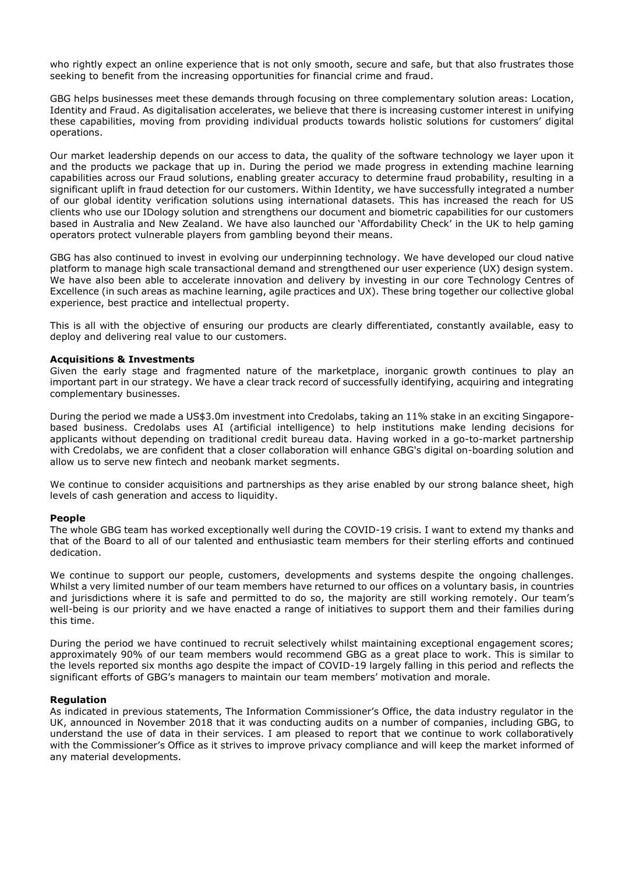who rightly expect an online experience that is not only smooth, secure and safe, but that also frustrates those seeking to benefit from the increasing opportunities for financial crime and fraud.

GBG helps businesses meet these demands through focusing on three complementary solution areas: Location, Identity and Fraud. As digitalisation accelerates, we believe that there is increasing customer interest in unifying these capabilities, moving from providing individual products towards holistic solutions for customers' digital operations.

Our market leadership depends on our access to data, the quality of the software technology we layer upon it and the products we package that up in. During the period we made progress in extending machine learning capabilities across our Fraud solutions, enabling greater accuracy to determine fraud probability, resulting in a significant uplift in fraud detection for our customers. Within Identity, we have successfully integrated a number of our global identity verification solutions using international datasets. This has increased the reach for US clients who use our IDology solution and strengthens our document and biometric capabilities for our customers based in Australia and New Zealand. We have also launched our 'Affordability Check' in the UK to help gaming operators protect vulnerable players from gambling beyond their means.

GBG has also continued to invest in evolving our underpinning technology. We have developed our cloud native platform to manage high scale transactional demand and strengthened our user experience (UX) design system. We have also been able to accelerate innovation and delivery by investing in our core Technology Centres of Excellence (in such areas as machine learning, agile practices and UX). These bring together our collective global experience, best practice and intellectual property.

This is all with the objective of ensuring our products are clearly differentiated, constantly available, easy to deploy and delivering real value to our customers.

## **Acquisitions & Investments**

Given the early stage and fragmented nature of the marketplace, inorganic growth continues to play an important part in our strategy. We have a clear track record of successfully identifying, acquiring and integrating complementary businesses.

During the period we made a US\$3.0m investment into Credolabs, taking an 11% stake in an exciting Singaporebased business. Credolabs uses AI (artificial intelligence) to help institutions make lending decisions for applicants without depending on traditional credit bureau data. Having worked in a go-to-market partnership with Credolabs, we are confident that a closer collaboration will enhance GBG's digital on-boarding solution and allow us to serve new fintech and neobank market segments.

We continue to consider acquisitions and partnerships as they arise enabled by our strong balance sheet, high levels of cash generation and access to liquidity.

## **People**

The whole GBG team has worked exceptionally well during the COVID-19 crisis. I want to extend my thanks and that of the Board to all of our talented and enthusiastic team members for their sterling efforts and continued dedication.

We continue to support our people, customers, developments and systems despite the ongoing challenges. Whilst a very limited number of our team members have returned to our offices on a voluntary basis, in countries and jurisdictions where it is safe and permitted to do so, the majority are still working remotely. Our team's well-being is our priority and we have enacted a range of initiatives to support them and their families during this time.

During the period we have continued to recruit selectively whilst maintaining exceptional engagement scores; approximately 90% of our team members would recommend GBG as a great place to work. This is similar to the levels reported six months ago despite the impact of COVID-19 largely falling in this period and reflects the significant efforts of GBG's managers to maintain our team members' motivation and morale.

## **Regulation**

As indicated in previous statements, The Information Commissioner's Office, the data industry regulator in the UK, announced in November 2018 that it was conducting audits on a number of companies, including GBG, to understand the use of data in their services. I am pleased to report that we continue to work collaboratively with the Commissioner's Office as it strives to improve privacy compliance and will keep the market informed of any material developments.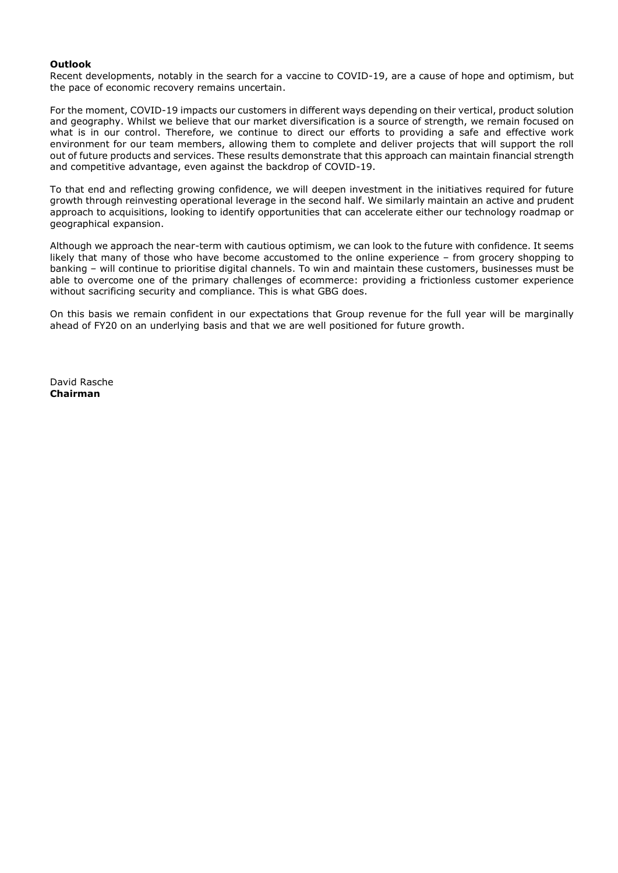## **Outlook**

Recent developments, notably in the search for a vaccine to COVID-19, are a cause of hope and optimism, but the pace of economic recovery remains uncertain.

For the moment, COVID-19 impacts our customers in different ways depending on their vertical, product solution and geography. Whilst we believe that our market diversification is a source of strength, we remain focused on what is in our control. Therefore, we continue to direct our efforts to providing a safe and effective work environment for our team members, allowing them to complete and deliver projects that will support the roll out of future products and services. These results demonstrate that this approach can maintain financial strength and competitive advantage, even against the backdrop of COVID-19.

To that end and reflecting growing confidence, we will deepen investment in the initiatives required for future growth through reinvesting operational leverage in the second half. We similarly maintain an active and prudent approach to acquisitions, looking to identify opportunities that can accelerate either our technology roadmap or geographical expansion.

Although we approach the near-term with cautious optimism, we can look to the future with confidence. It seems likely that many of those who have become accustomed to the online experience – from grocery shopping to banking – will continue to prioritise digital channels. To win and maintain these customers, businesses must be able to overcome one of the primary challenges of ecommerce: providing a frictionless customer experience without sacrificing security and compliance. This is what GBG does.

On this basis we remain confident in our expectations that Group revenue for the full year will be marginally ahead of FY20 on an underlying basis and that we are well positioned for future growth.

David Rasche **Chairman**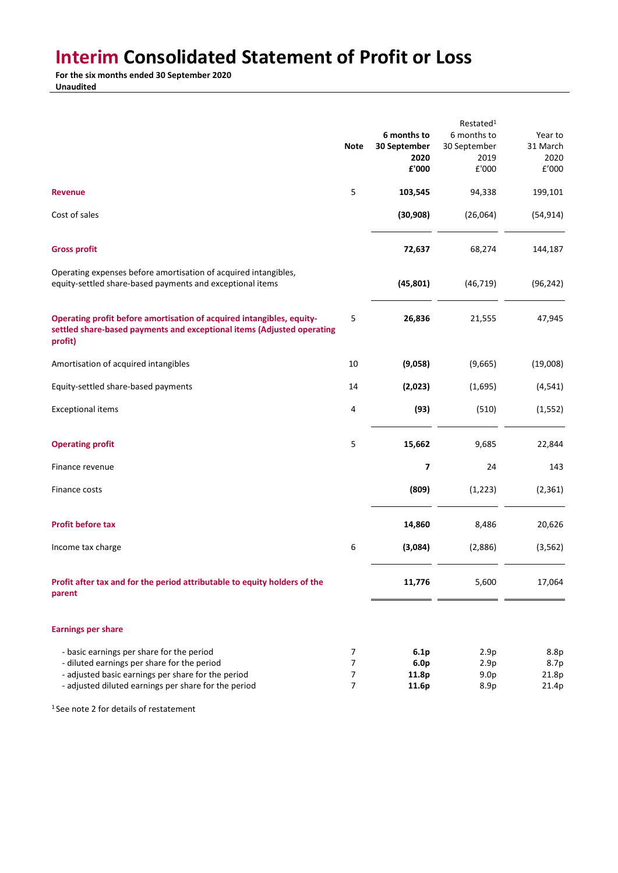## **Interim Consolidated Statement of Profit or Loss**

**For the six months ended 30 September 2020**

**Unaudited**

|                                                                                                                                                                                                        | <b>Note</b>                                  | 6 months to<br>30 September                | Restated <sup>1</sup><br>6 months to<br>30 September | Year to<br>31 March            |
|--------------------------------------------------------------------------------------------------------------------------------------------------------------------------------------------------------|----------------------------------------------|--------------------------------------------|------------------------------------------------------|--------------------------------|
|                                                                                                                                                                                                        |                                              | 2020<br>£'000                              | 2019<br>£'000                                        | 2020<br>£'000                  |
| <b>Revenue</b>                                                                                                                                                                                         | 5                                            | 103,545                                    | 94,338                                               | 199,101                        |
| Cost of sales                                                                                                                                                                                          |                                              | (30, 908)                                  | (26,064)                                             | (54, 914)                      |
| <b>Gross profit</b>                                                                                                                                                                                    |                                              | 72,637                                     | 68,274                                               | 144,187                        |
| Operating expenses before amortisation of acquired intangibles,<br>equity-settled share-based payments and exceptional items                                                                           |                                              | (45, 801)                                  | (46, 719)                                            | (96, 242)                      |
| Operating profit before amortisation of acquired intangibles, equity-<br>settled share-based payments and exceptional items (Adjusted operating<br>profit)                                             | 5                                            | 26,836                                     | 21,555                                               | 47,945                         |
| Amortisation of acquired intangibles                                                                                                                                                                   | 10                                           | (9,058)                                    | (9,665)                                              | (19,008)                       |
| Equity-settled share-based payments                                                                                                                                                                    | 14                                           | (2,023)                                    | (1,695)                                              | (4, 541)                       |
| <b>Exceptional items</b>                                                                                                                                                                               | 4                                            | (93)                                       | (510)                                                | (1, 552)                       |
| <b>Operating profit</b>                                                                                                                                                                                | 5                                            | 15,662                                     | 9,685                                                | 22,844                         |
| Finance revenue                                                                                                                                                                                        |                                              | 7                                          | 24                                                   | 143                            |
| Finance costs                                                                                                                                                                                          |                                              | (809)                                      | (1, 223)                                             | (2, 361)                       |
| <b>Profit before tax</b>                                                                                                                                                                               |                                              | 14,860                                     | 8,486                                                | 20,626                         |
| Income tax charge                                                                                                                                                                                      | 6                                            | (3,084)                                    | (2,886)                                              | (3, 562)                       |
| Profit after tax and for the period attributable to equity holders of the<br>parent                                                                                                                    |                                              | 11,776                                     | 5,600                                                | 17,064                         |
| <b>Earnings per share</b>                                                                                                                                                                              |                                              |                                            |                                                      |                                |
| - basic earnings per share for the period<br>- diluted earnings per share for the period<br>- adjusted basic earnings per share for the period<br>- adjusted diluted earnings per share for the period | 7<br>7<br>$\boldsymbol{7}$<br>$\overline{7}$ | 6.1p<br>6.0 <sub>p</sub><br>11.8p<br>11.6p | 2.9p<br>2.9p<br>9.0 <sub>p</sub><br>8.9p             | 8.8p<br>8.7p<br>21.8p<br>21.4p |

<sup>1</sup> See note 2 for details of restatement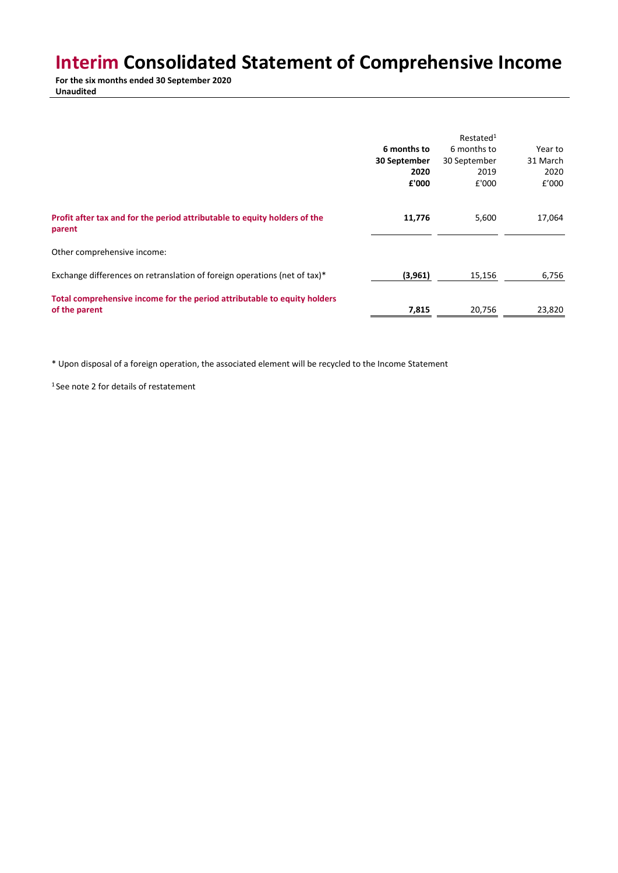## **Interim Consolidated Statement of Comprehensive Income**

**For the six months ended 30 September 2020 Unaudited**

|                                                                                           | 6 months to<br>30 September<br>2020<br>£'000 | Restated <sup>1</sup><br>6 months to<br>30 September<br>2019<br>£'000 | Year to<br>31 March<br>2020<br>£'000 |
|-------------------------------------------------------------------------------------------|----------------------------------------------|-----------------------------------------------------------------------|--------------------------------------|
| Profit after tax and for the period attributable to equity holders of the<br>parent       | 11,776                                       | 5,600                                                                 | 17,064                               |
| Other comprehensive income:                                                               |                                              |                                                                       |                                      |
| Exchange differences on retranslation of foreign operations (net of tax)*                 | (3,961)                                      | 15,156                                                                | 6,756                                |
| Total comprehensive income for the period attributable to equity holders<br>of the parent | 7,815                                        | 20,756                                                                | 23,820                               |

\* Upon disposal of a foreign operation, the associated element will be recycled to the Income Statement

<sup>1</sup> See note 2 for details of restatement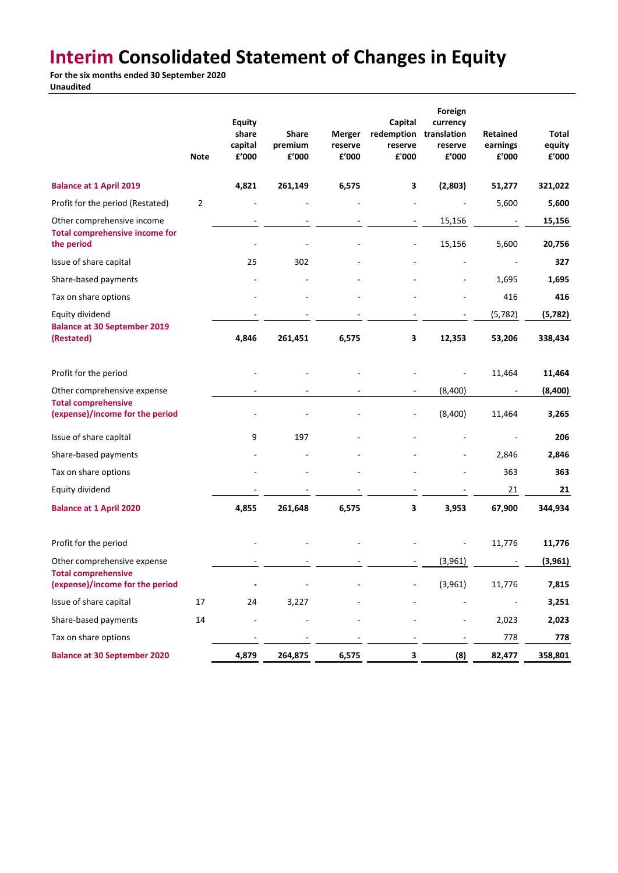## **Interim Consolidated Statement of Changes in Equity**

**For the six months ended 30 September 2020 Unaudited**

|                                                                                   | <b>Note</b> | <b>Equity</b><br>share<br>capital<br>£'000 | <b>Share</b><br>premium<br>£'000 | <b>Merger</b><br>reserve<br>£'000 | Capital<br>redemption<br>reserve<br>£'000 | Foreign<br>currency<br>translation<br>reserve<br>£'000 | Retained<br>earnings<br>£'000 | Total<br>equity<br>${\bf f}$ '000 |
|-----------------------------------------------------------------------------------|-------------|--------------------------------------------|----------------------------------|-----------------------------------|-------------------------------------------|--------------------------------------------------------|-------------------------------|-----------------------------------|
| <b>Balance at 1 April 2019</b>                                                    |             | 4,821                                      | 261,149                          | 6,575                             | 3                                         | (2,803)                                                | 51,277                        | 321,022                           |
| Profit for the period (Restated)                                                  | $\mathbf 2$ |                                            |                                  |                                   |                                           |                                                        | 5,600                         | 5,600                             |
| Other comprehensive income<br><b>Total comprehensive income for</b><br>the period |             |                                            |                                  |                                   |                                           | 15,156<br>15,156                                       | 5,600                         | 15,156<br>20,756                  |
| Issue of share capital                                                            |             | 25                                         | 302                              |                                   |                                           |                                                        |                               | 327                               |
| Share-based payments                                                              |             |                                            |                                  |                                   |                                           |                                                        | 1,695                         | 1,695                             |
| Tax on share options                                                              |             |                                            |                                  |                                   |                                           |                                                        | 416                           | 416                               |
| Equity dividend<br><b>Balance at 30 September 2019</b>                            |             |                                            |                                  |                                   |                                           |                                                        | (5, 782)                      | (5,782)                           |
| (Restated)                                                                        |             | 4,846                                      | 261,451                          | 6,575                             | 3                                         | 12,353                                                 | 53,206                        | 338,434                           |
| Profit for the period                                                             |             |                                            |                                  |                                   |                                           |                                                        | 11,464                        | 11,464                            |
| Other comprehensive expense                                                       |             |                                            |                                  |                                   |                                           | (8,400)                                                |                               | (8,400)                           |
| <b>Total comprehensive</b><br>(expense)/income for the period                     |             |                                            |                                  |                                   | $\overline{\phantom{a}}$                  | (8,400)                                                | 11,464                        | 3,265                             |
| Issue of share capital                                                            |             | 9                                          | 197                              |                                   |                                           |                                                        |                               | 206                               |
| Share-based payments                                                              |             |                                            |                                  |                                   |                                           |                                                        | 2,846                         | 2,846                             |
| Tax on share options                                                              |             |                                            |                                  |                                   |                                           |                                                        | 363                           | 363                               |
| Equity dividend                                                                   |             |                                            |                                  |                                   |                                           |                                                        | 21                            | 21                                |
| <b>Balance at 1 April 2020</b>                                                    |             | 4,855                                      | 261,648                          | 6,575                             | 3                                         | 3,953                                                  | 67,900                        | 344,934                           |
| Profit for the period                                                             |             |                                            |                                  |                                   |                                           |                                                        | 11,776                        | 11,776                            |
| Other comprehensive expense                                                       |             |                                            |                                  |                                   |                                           | (3,961)                                                |                               | (3,961)                           |
| <b>Total comprehensive</b><br>(expense)/income for the period                     |             |                                            |                                  |                                   |                                           | (3,961)                                                | 11,776                        | 7,815                             |
| Issue of share capital                                                            | 17          | 24                                         | 3,227                            |                                   |                                           |                                                        |                               | 3,251                             |
| Share-based payments                                                              | 14          |                                            |                                  |                                   |                                           | $\overline{\phantom{0}}$                               | 2,023                         | 2,023                             |
| Tax on share options                                                              |             |                                            |                                  |                                   |                                           |                                                        | 778                           | 778                               |
| <b>Balance at 30 September 2020</b>                                               |             | 4,879                                      | 264,875                          | 6,575                             | 3                                         | (8)                                                    | 82,477                        | 358,801                           |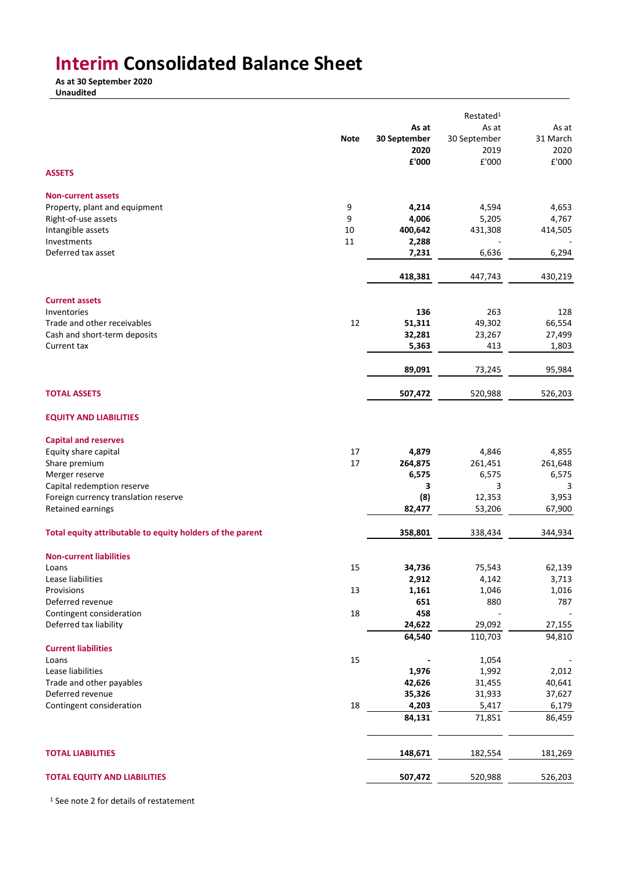## **Interim Consolidated Balance Sheet**

**As at 30 September 2020 Unaudited**

|                                                           |             |                  | Restated <sup>1</sup> |                  |
|-----------------------------------------------------------|-------------|------------------|-----------------------|------------------|
|                                                           |             | As at            | As at                 | As at            |
|                                                           | <b>Note</b> | 30 September     | 30 September          | 31 March         |
|                                                           |             | 2020             | 2019                  | 2020             |
|                                                           |             | £'000            | £'000                 | £'000            |
| <b>ASSETS</b>                                             |             |                  |                       |                  |
| <b>Non-current assets</b>                                 |             |                  |                       |                  |
| Property, plant and equipment                             | 9           | 4,214            | 4,594                 | 4,653            |
| Right-of-use assets                                       | 9           | 4,006            | 5,205                 | 4,767            |
| Intangible assets                                         | 10          | 400,642          | 431,308               | 414,505          |
| Investments                                               | 11          | 2,288            |                       |                  |
| Deferred tax asset                                        |             | 7,231            | 6,636                 | 6,294            |
|                                                           |             | 418,381          | 447,743               | 430,219          |
| <b>Current assets</b>                                     |             |                  |                       |                  |
| Inventories                                               |             | 136              | 263                   | 128              |
| Trade and other receivables                               | 12          | 51,311           | 49,302                | 66,554           |
| Cash and short-term deposits                              |             | 32,281           | 23,267                | 27,499           |
| Current tax                                               |             | 5,363            | 413                   | 1,803            |
|                                                           |             | 89,091           | 73,245                | 95,984           |
| <b>TOTAL ASSETS</b>                                       |             | 507,472          | 520,988               | 526,203          |
| <b>EQUITY AND LIABILITIES</b>                             |             |                  |                       |                  |
|                                                           |             |                  |                       |                  |
| <b>Capital and reserves</b>                               |             |                  |                       |                  |
| Equity share capital                                      | 17<br>17    | 4,879            | 4,846<br>261,451      | 4,855            |
| Share premium<br>Merger reserve                           |             | 264,875<br>6,575 | 6,575                 | 261,648<br>6,575 |
| Capital redemption reserve                                |             | 3                | 3                     | 3                |
| Foreign currency translation reserve                      |             | (8)              | 12,353                | 3,953            |
| Retained earnings                                         |             | 82,477           | 53,206                | 67,900           |
| Total equity attributable to equity holders of the parent |             | 358,801          | 338,434               | 344,934          |
| <b>Non-current liabilities</b>                            |             |                  |                       |                  |
| Loans                                                     | 15          | 34,736           | 75,543                | 62,139           |
| Lease liabilities                                         |             | 2,912            | 4,142                 | 3,713            |
| Provisions                                                | 13          | 1,161            | 1,046                 | 1,016            |
| Deferred revenue                                          |             | 651              | 880                   | 787              |
| Contingent consideration                                  | 18          | 458              |                       |                  |
| Deferred tax liability                                    |             | 24,622           | 29,092                | 27,155           |
|                                                           |             | 64,540           | 110,703               | 94,810           |
| <b>Current liabilities</b>                                |             |                  |                       |                  |
| Loans                                                     | 15          |                  | 1,054                 |                  |
| Lease liabilities                                         |             | 1,976            | 1,992                 | 2,012            |
| Trade and other payables                                  |             | 42,626           | 31,455                | 40,641           |
| Deferred revenue                                          |             | 35,326           | 31,933                | 37,627           |
| Contingent consideration                                  | 18          | 4,203            | 5,417                 | 6,179            |
|                                                           |             | 84,131           | 71,851                | 86,459           |
| <b>TOTAL LIABILITIES</b>                                  |             | 148,671          | 182,554               | 181,269          |
|                                                           |             |                  |                       |                  |
| <b>TOTAL EQUITY AND LIABILITIES</b>                       |             | 507,472          | 520,988               | 526,203          |

<sup>1</sup> See note 2 for details of restatement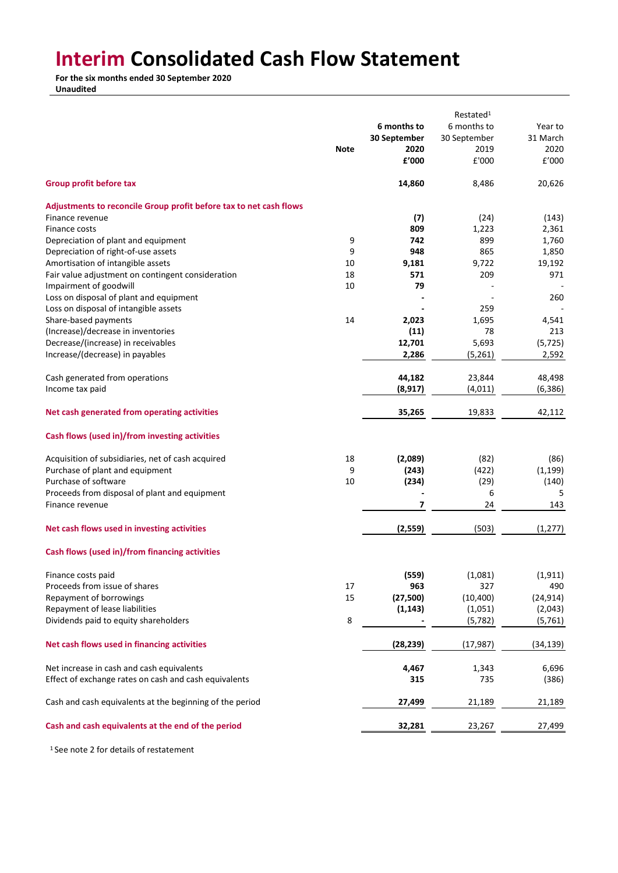# **Interim Consolidated Cash Flow Statement**

**For the six months ended 30 September 2020**

**Unaudited**

|                                                                    |             |              | Restated <sup>1</sup> |           |
|--------------------------------------------------------------------|-------------|--------------|-----------------------|-----------|
|                                                                    |             | 6 months to  | 6 months to           | Year to   |
|                                                                    |             | 30 September | 30 September          | 31 March  |
|                                                                    | <b>Note</b> | 2020         | 2019                  | 2020      |
|                                                                    |             | £'000        | £'000                 | £'000     |
|                                                                    |             |              |                       |           |
| Group profit before tax                                            |             | 14,860       | 8,486                 | 20,626    |
| Adjustments to reconcile Group profit before tax to net cash flows |             |              |                       |           |
| Finance revenue                                                    |             | (7)          | (24)                  | (143)     |
| Finance costs                                                      |             | 809          | 1,223                 | 2,361     |
| Depreciation of plant and equipment                                | 9           | 742          | 899                   | 1,760     |
| Depreciation of right-of-use assets                                | 9           | 948          | 865                   | 1,850     |
| Amortisation of intangible assets                                  | 10          | 9,181        | 9,722                 | 19,192    |
| Fair value adjustment on contingent consideration                  | 18          | 571          | 209                   | 971       |
| Impairment of goodwill                                             | 10          | 79           |                       |           |
| Loss on disposal of plant and equipment                            |             |              |                       | 260       |
| Loss on disposal of intangible assets                              |             |              | 259                   |           |
| Share-based payments                                               | 14          | 2,023        | 1,695                 | 4,541     |
| (Increase)/decrease in inventories                                 |             | (11)         | 78                    | 213       |
| Decrease/(increase) in receivables                                 |             |              | 5,693                 |           |
|                                                                    |             | 12,701       |                       | (5, 725)  |
| Increase/(decrease) in payables                                    |             | 2,286        | (5,261)               | 2,592     |
| Cash generated from operations                                     |             | 44,182       | 23,844                | 48,498    |
| Income tax paid                                                    |             | (8, 917)     | (4,011)               | (6, 386)  |
|                                                                    |             |              |                       |           |
| Net cash generated from operating activities                       |             | 35,265       | 19,833                | 42,112    |
| Cash flows (used in)/from investing activities                     |             |              |                       |           |
| Acquisition of subsidiaries, net of cash acquired                  | 18          | (2,089)      | (82)                  | (86)      |
| Purchase of plant and equipment                                    | 9           | (243)        | (422)                 | (1, 199)  |
| Purchase of software                                               | 10          | (234)        | (29)                  | (140)     |
| Proceeds from disposal of plant and equipment                      |             |              | 6                     | 5         |
| Finance revenue                                                    |             | 7            | 24                    | 143       |
|                                                                    |             |              |                       |           |
| Net cash flows used in investing activities                        |             | (2,559)      | (503)                 | (1, 277)  |
| Cash flows (used in)/from financing activities                     |             |              |                       |           |
| Finance costs paid                                                 |             | (559)        | (1,081)               | (1, 911)  |
| Proceeds from issue of shares                                      | 17          | 963          | 327                   | 490       |
| Repayment of borrowings                                            | 15          | (27, 500)    | (10, 400)             | (24, 914) |
| Repayment of lease liabilities                                     |             | (1, 143)     | (1,051)               | (2,043)   |
| Dividends paid to equity shareholders                              | 8           |              | (5, 782)              | (5,761)   |
| Net cash flows used in financing activities                        |             | (28, 239)    | (17, 987)             | (34, 139) |
|                                                                    |             |              |                       |           |
| Net increase in cash and cash equivalents                          |             | 4,467        | 1,343                 | 6,696     |
| Effect of exchange rates on cash and cash equivalents              |             | 315          | 735                   | (386)     |
| Cash and cash equivalents at the beginning of the period           |             | 27,499       | 21,189                | 21,189    |
| Cash and cash equivalents at the end of the period                 |             | 32,281       | 23,267                | 27,499    |

<sup>1</sup> See note 2 for details of restatement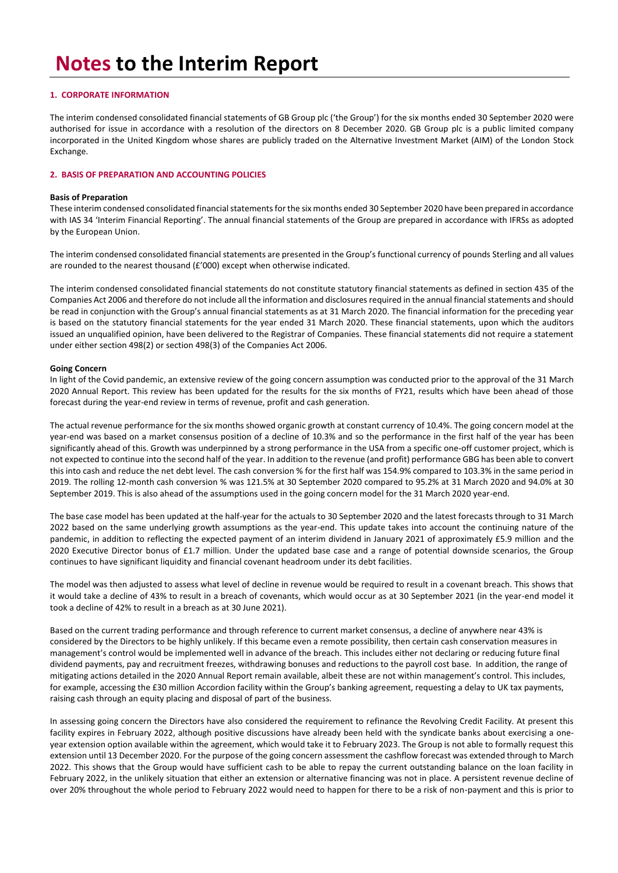## **1. CORPORATE INFORMATION**

The interim condensed consolidated financial statements of GB Group plc ('the Group') for the six months ended 30 September 2020 were authorised for issue in accordance with a resolution of the directors on 8 December 2020. GB Group plc is a public limited company incorporated in the United Kingdom whose shares are publicly traded on the Alternative Investment Market (AIM) of the London Stock Exchange.

## **2. BASIS OF PREPARATION AND ACCOUNTING POLICIES**

### **Basis of Preparation**

These interim condensed consolidated financial statements for the six months ended 30 September 2020 have been prepared in accordance with IAS 34 'Interim Financial Reporting'. The annual financial statements of the Group are prepared in accordance with IFRSs as adopted by the European Union.

The interim condensed consolidated financial statements are presented in the Group's functional currency of pounds Sterling and all values are rounded to the nearest thousand (£'000) except when otherwise indicated.

The interim condensed consolidated financial statements do not constitute statutory financial statements as defined in section 435 of the Companies Act 2006 and therefore do not include all the information and disclosures required in the annual financial statements and should be read in conjunction with the Group's annual financial statements as at 31 March 2020. The financial information for the preceding year is based on the statutory financial statements for the year ended 31 March 2020. These financial statements, upon which the auditors issued an unqualified opinion, have been delivered to the Registrar of Companies. These financial statements did not require a statement under either section 498(2) or section 498(3) of the Companies Act 2006.

### **Going Concern**

In light of the Covid pandemic, an extensive review of the going concern assumption was conducted prior to the approval of the 31 March 2020 Annual Report. This review has been updated for the results for the six months of FY21, results which have been ahead of those forecast during the year-end review in terms of revenue, profit and cash generation.

The actual revenue performance for the six months showed organic growth at constant currency of 10.4%. The going concern model at the year-end was based on a market consensus position of a decline of 10.3% and so the performance in the first half of the year has been significantly ahead of this. Growth was underpinned by a strong performance in the USA from a specific one-off customer project, which is not expected to continue into the second half of the year. In addition to the revenue (and profit) performance GBG has been able to convert this into cash and reduce the net debt level. The cash conversion % for the first half was 154.9% compared to 103.3% in the same period in 2019. The rolling 12-month cash conversion % was 121.5% at 30 September 2020 compared to 95.2% at 31 March 2020 and 94.0% at 30 September 2019. This is also ahead of the assumptions used in the going concern model for the 31 March 2020 year-end.

The base case model has been updated at the half-year for the actuals to 30 September 2020 and the latest forecasts through to 31 March 2022 based on the same underlying growth assumptions as the year-end. This update takes into account the continuing nature of the pandemic, in addition to reflecting the expected payment of an interim dividend in January 2021 of approximately £5.9 million and the 2020 Executive Director bonus of £1.7 million. Under the updated base case and a range of potential downside scenarios, the Group continues to have significant liquidity and financial covenant headroom under its debt facilities.

The model was then adjusted to assess what level of decline in revenue would be required to result in a covenant breach. This shows that it would take a decline of 43% to result in a breach of covenants, which would occur as at 30 September 2021 (in the year-end model it took a decline of 42% to result in a breach as at 30 June 2021).

Based on the current trading performance and through reference to current market consensus, a decline of anywhere near 43% is considered by the Directors to be highly unlikely. If this became even a remote possibility, then certain cash conservation measures in management's control would be implemented well in advance of the breach. This includes either not declaring or reducing future final dividend payments, pay and recruitment freezes, withdrawing bonuses and reductions to the payroll cost base. In addition, the range of mitigating actions detailed in the 2020 Annual Report remain available, albeit these are not within management's control. This includes, for example, accessing the £30 million Accordion facility within the Group's banking agreement, requesting a delay to UK tax payments, raising cash through an equity placing and disposal of part of the business.

In assessing going concern the Directors have also considered the requirement to refinance the Revolving Credit Facility. At present this facility expires in February 2022, although positive discussions have already been held with the syndicate banks about exercising a oneyear extension option available within the agreement, which would take it to February 2023. The Group is not able to formally request this extension until 13 December 2020. For the purpose of the going concern assessment the cashflow forecast was extended through to March 2022. This shows that the Group would have sufficient cash to be able to repay the current outstanding balance on the loan facility in February 2022, in the unlikely situation that either an extension or alternative financing was not in place. A persistent revenue decline of over 20% throughout the whole period to February 2022 would need to happen for there to be a risk of non-payment and this is prior to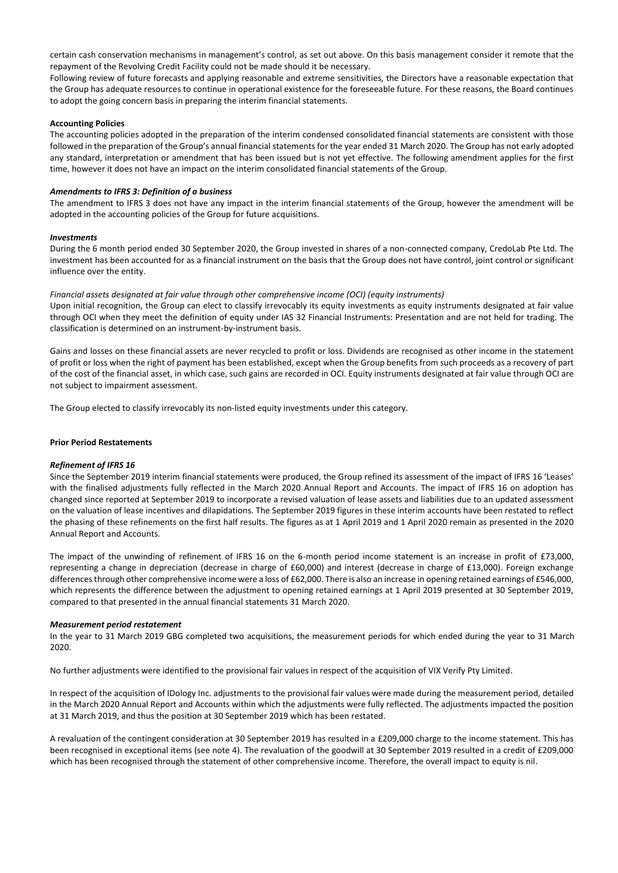certain cash conservation mechanisms in management's control, as set out above. On this basis management consider it remote that the repayment of the Revolving Credit Facility could not be made should it be necessary.

Following review of future forecasts and applying reasonable and extreme sensitivities, the Directors have a reasonable expectation that the Group has adequate resources to continue in operational existence for the foreseeable future. For these reasons, the Board continues to adopt the going concern basis in preparing the interim financial statements.

## **Accounting Policies**

The accounting policies adopted in the preparation of the interim condensed consolidated financial statements are consistent with those followed in the preparation of the Group's annual financial statements for the year ended 31 March 2020. The Group has not early adopted any standard, interpretation or amendment that has been issued but is not yet effective. The following amendment applies for the first time, however it does not have an impact on the interim consolidated financial statements of the Group.

## *Amendments to IFRS 3: Definition of a business*

The amendment to IFRS 3 does not have any impact in the interim financial statements of the Group, however the amendment will be adopted in the accounting policies of the Group for future acquisitions.

### *Investments*

During the 6 month period ended 30 September 2020, the Group invested in shares of a non-connected company, CredoLab Pte Ltd. The investment has been accounted for as a financial instrument on the basis that the Group does not have control, joint control or significant influence over the entity.

### *Financial assets designated at fair value through other comprehensive income (OCI) (equity instruments)*

Upon initial recognition, the Group can elect to classify irrevocably its equity investments as equity instruments designated at fair value through OCI when they meet the definition of equity under IAS 32 Financial Instruments: Presentation and are not held for trading. The classification is determined on an instrument-by-instrument basis.

Gains and losses on these financial assets are never recycled to profit or loss. Dividends are recognised as other income in the statement of profit or loss when the right of payment has been established, except when the Group benefits from such proceeds as a recovery of part of the cost of the financial asset, in which case, such gains are recorded in OCI. Equity instruments designated at fair value through OCI are not subject to impairment assessment.

The Group elected to classify irrevocably its non-listed equity investments under this category.

### **Prior Period Restatements**

### *Refinement of IFRS 16*

Since the September 2019 interim financial statements were produced, the Group refined its assessment of the impact of IFRS 16 'Leases' with the finalised adjustments fully reflected in the March 2020 Annual Report and Accounts. The impact of IFRS 16 on adoption has changed since reported at September 2019 to incorporate a revised valuation of lease assets and liabilities due to an updated assessment on the valuation of lease incentives and dilapidations. The September 2019 figures in these interim accounts have been restated to reflect the phasing of these refinements on the first half results. The figures as at 1 April 2019 and 1 April 2020 remain as presented in the 2020 Annual Report and Accounts.

The impact of the unwinding of refinement of IFRS 16 on the 6-month period income statement is an increase in profit of £73,000, representing a change in depreciation (decrease in charge of £60,000) and interest (decrease in charge of £13,000). Foreign exchange differences through other comprehensive income were a loss of £62,000. There is also an increase in opening retained earnings of £546,000, which represents the difference between the adjustment to opening retained earnings at 1 April 2019 presented at 30 September 2019, compared to that presented in the annual financial statements 31 March 2020.

### *Measurement period restatement*

In the year to 31 March 2019 GBG completed two acquisitions, the measurement periods for which ended during the year to 31 March 2020.

No further adjustments were identified to the provisional fair values in respect of the acquisition of VIX Verify Pty Limited.

In respect of the acquisition of IDology Inc. adjustments to the provisional fair values were made during the measurement period, detailed in the March 2020 Annual Report and Accounts within which the adjustments were fully reflected. The adjustments impacted the position at 31 March 2019, and thus the position at 30 September 2019 which has been restated.

A revaluation of the contingent consideration at 30 September 2019 has resulted in a £209,000 charge to the income statement. This has been recognised in exceptional items (see note 4). The revaluation of the goodwill at 30 September 2019 resulted in a credit of £209,000 which has been recognised through the statement of other comprehensive income. Therefore, the overall impact to equity is nil.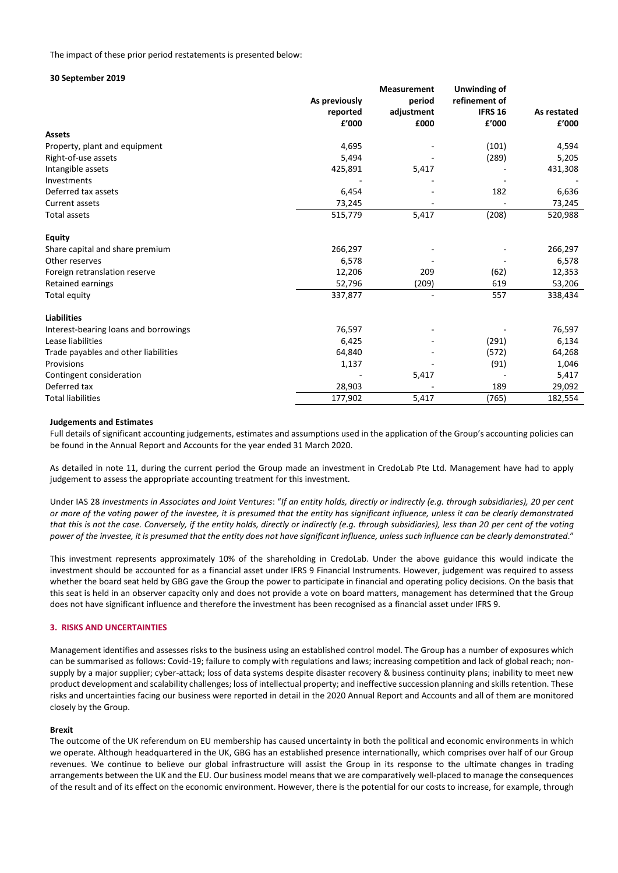#### The impact of these prior period restatements is presented below:

#### **30 September 2019**

|                                       |               | Unwinding of |                |             |
|---------------------------------------|---------------|--------------|----------------|-------------|
|                                       | As previously | period       | refinement of  |             |
|                                       | reported      | adjustment   | <b>IFRS 16</b> | As restated |
|                                       | £'000         | £000         | £'000          | £'000       |
| <b>Assets</b>                         |               |              |                |             |
| Property, plant and equipment         | 4,695         |              | (101)          | 4,594       |
| Right-of-use assets                   | 5,494         |              | (289)          | 5,205       |
| Intangible assets                     | 425,891       | 5,417        |                | 431,308     |
| Investments                           |               |              |                |             |
| Deferred tax assets                   | 6,454         |              | 182            | 6,636       |
| Current assets                        | 73,245        |              |                | 73,245      |
| <b>Total assets</b>                   | 515,779       | 5,417        | (208)          | 520,988     |
| <b>Equity</b>                         |               |              |                |             |
| Share capital and share premium       | 266,297       |              |                | 266,297     |
| Other reserves                        | 6,578         |              |                | 6,578       |
| Foreign retranslation reserve         | 12,206        | 209          | (62)           | 12,353      |
| <b>Retained earnings</b>              | 52,796        | (209)        | 619            | 53,206      |
| Total equity                          | 337,877       |              | 557            | 338,434     |
| <b>Liabilities</b>                    |               |              |                |             |
| Interest-bearing loans and borrowings | 76,597        |              |                | 76,597      |
| Lease liabilities                     | 6,425         |              | (291)          | 6,134       |
| Trade payables and other liabilities  | 64,840        |              | (572)          | 64,268      |
| Provisions                            | 1,137         |              | (91)           | 1,046       |
| Contingent consideration              |               | 5,417        |                | 5,417       |
| Deferred tax                          | 28,903        |              | 189            | 29,092      |
| <b>Total liabilities</b>              | 177,902       | 5,417        | (765)          | 182,554     |

### **Judgements and Estimates**

Full details of significant accounting judgements, estimates and assumptions used in the application of the Group's accounting policies can be found in the Annual Report and Accounts for the year ended 31 March 2020.

As detailed in note 11, during the current period the Group made an investment in CredoLab Pte Ltd. Management have had to apply judgement to assess the appropriate accounting treatment for this investment.

Under IAS 28 *Investments in Associates and Joint Ventures*: "*If an entity holds, directly or indirectly (e.g. through subsidiaries), 20 per cent or more of the voting power of the investee, it is presumed that the entity has significant influence, unless it can be clearly demonstrated that this is not the case. Conversely, if the entity holds, directly or indirectly (e.g. through subsidiaries), less than 20 per cent of the voting power of the investee, it is presumed that the entity does not have significant influence, unless such influence can be clearly demonstrated*."

This investment represents approximately 10% of the shareholding in CredoLab. Under the above guidance this would indicate the investment should be accounted for as a financial asset under IFRS 9 Financial Instruments. However, judgement was required to assess whether the board seat held by GBG gave the Group the power to participate in financial and operating policy decisions. On the basis that this seat is held in an observer capacity only and does not provide a vote on board matters, management has determined that the Group does not have significant influence and therefore the investment has been recognised as a financial asset under IFRS 9.

### **3. RISKS AND UNCERTAINTIES**

Management identifies and assesses risks to the business using an established control model. The Group has a number of exposures which can be summarised as follows: Covid-19; failure to comply with regulations and laws; increasing competition and lack of global reach; nonsupply by a major supplier; cyber-attack; loss of data systems despite disaster recovery & business continuity plans; inability to meet new product development and scalability challenges; loss of intellectual property; and ineffective succession planning and skills retention. These risks and uncertainties facing our business were reported in detail in the 2020 Annual Report and Accounts and all of them are monitored closely by the Group.

## **Brexit**

The outcome of the UK referendum on EU membership has caused uncertainty in both the political and economic environments in which we operate. Although headquartered in the UK, GBG has an established presence internationally, which comprises over half of our Group revenues. We continue to believe our global infrastructure will assist the Group in its response to the ultimate changes in trading arrangements between the UK and the EU. Our business model means that we are comparatively well-placed to manage the consequences of the result and of its effect on the economic environment. However, there is the potential for our costs to increase, for example, through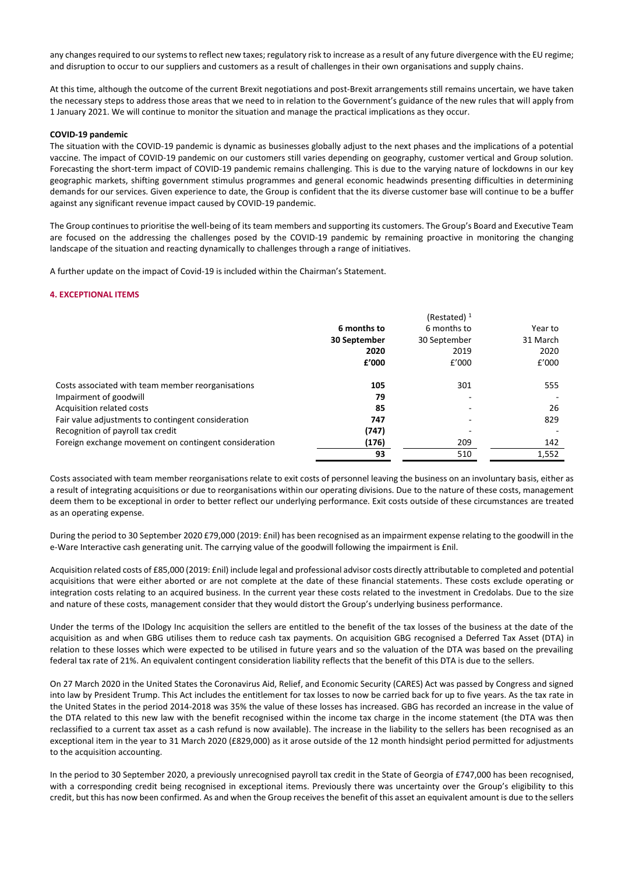any changes required to our systems to reflect new taxes; regulatory risk to increase as a result of any future divergence with the EU regime; and disruption to occur to our suppliers and customers as a result of challenges in their own organisations and supply chains.

At this time, although the outcome of the current Brexit negotiations and post-Brexit arrangements still remains uncertain, we have taken the necessary steps to address those areas that we need to in relation to the Government's guidance of the new rules that will apply from 1 January 2021. We will continue to monitor the situation and manage the practical implications as they occur.

## **COVID-19 pandemic**

The situation with the COVID-19 pandemic is dynamic as businesses globally adjust to the next phases and the implications of a potential vaccine. The impact of COVID-19 pandemic on our customers still varies depending on geography, customer vertical and Group solution. Forecasting the short-term impact of COVID-19 pandemic remains challenging. This is due to the varying nature of lockdowns in our key geographic markets, shifting government stimulus programmes and general economic headwinds presenting difficulties in determining demands for our services. Given experience to date, the Group is confident that the its diverse customer base will continue to be a buffer against any significant revenue impact caused by COVID-19 pandemic.

The Group continues to prioritise the well-being of its team members and supporting its customers. The Group's Board and Executive Team are focused on the addressing the challenges posed by the COVID-19 pandemic by remaining proactive in monitoring the changing landscape of the situation and reacting dynamically to challenges through a range of initiatives.

A further update on the impact of Covid-19 is included within the Chairman's Statement.

## **4. EXCEPTIONAL ITEMS**

|                                                       | 6 months to<br>30 September<br>2020<br>f'000 | (Restated) $1$<br>6 months to<br>30 September<br>2019<br>f'000 | Year to<br>31 March<br>2020<br>f'000 |
|-------------------------------------------------------|----------------------------------------------|----------------------------------------------------------------|--------------------------------------|
| Costs associated with team member reorganisations     | 105                                          | 301                                                            | 555                                  |
| Impairment of goodwill                                | 79                                           |                                                                |                                      |
| Acquisition related costs                             | 85                                           |                                                                | 26                                   |
| Fair value adjustments to contingent consideration    | 747                                          |                                                                | 829                                  |
| Recognition of payroll tax credit                     | (747)                                        |                                                                |                                      |
| Foreign exchange movement on contingent consideration | (176)                                        | 209                                                            | 142                                  |
|                                                       | 93                                           | 510                                                            | 1,552                                |

Costs associated with team member reorganisations relate to exit costs of personnel leaving the business on an involuntary basis, either as a result of integrating acquisitions or due to reorganisations within our operating divisions. Due to the nature of these costs, management deem them to be exceptional in order to better reflect our underlying performance. Exit costs outside of these circumstances are treated as an operating expense.

During the period to 30 September 2020 £79,000 (2019: £nil) has been recognised as an impairment expense relating to the goodwill in the e-Ware Interactive cash generating unit. The carrying value of the goodwill following the impairment is £nil.

Acquisition related costs of £85,000 (2019: £nil) include legal and professional advisor costs directly attributable to completed and potential acquisitions that were either aborted or are not complete at the date of these financial statements. These costs exclude operating or integration costs relating to an acquired business. In the current year these costs related to the investment in Credolabs. Due to the size and nature of these costs, management consider that they would distort the Group's underlying business performance.

Under the terms of the IDology Inc acquisition the sellers are entitled to the benefit of the tax losses of the business at the date of the acquisition as and when GBG utilises them to reduce cash tax payments. On acquisition GBG recognised a Deferred Tax Asset (DTA) in relation to these losses which were expected to be utilised in future years and so the valuation of the DTA was based on the prevailing federal tax rate of 21%. An equivalent contingent consideration liability reflects that the benefit of this DTA is due to the sellers.

On 27 March 2020 in the United States the Coronavirus Aid, Relief, and Economic Security (CARES) Act was passed by Congress and signed into law by President Trump. This Act includes the entitlement for tax losses to now be carried back for up to five years. As the tax rate in the United States in the period 2014-2018 was 35% the value of these losses has increased. GBG has recorded an increase in the value of the DTA related to this new law with the benefit recognised within the income tax charge in the income statement (the DTA was then reclassified to a current tax asset as a cash refund is now available). The increase in the liability to the sellers has been recognised as an exceptional item in the year to 31 March 2020 (£829,000) as it arose outside of the 12 month hindsight period permitted for adjustments to the acquisition accounting.

In the period to 30 September 2020, a previously unrecognised payroll tax credit in the State of Georgia of £747,000 has been recognised, with a corresponding credit being recognised in exceptional items. Previously there was uncertainty over the Group's eligibility to this credit, but this has now been confirmed. As and when the Group receives the benefit of this asset an equivalent amount is due to the sellers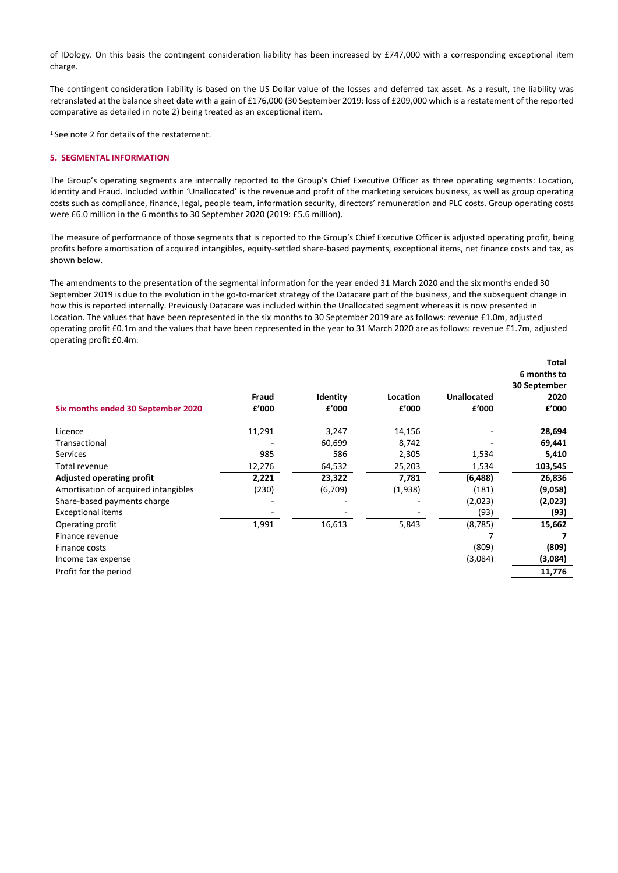of IDology. On this basis the contingent consideration liability has been increased by £747,000 with a corresponding exceptional item charge.

The contingent consideration liability is based on the US Dollar value of the losses and deferred tax asset. As a result, the liability was retranslated at the balance sheet date with a gain of £176,000 (30 September 2019: loss of £209,000 which is a restatement of the reported comparative as detailed in note 2) being treated as an exceptional item.

<sup>1</sup>See note 2 for details of the restatement.

## **5. SEGMENTAL INFORMATION**

The Group's operating segments are internally reported to the Group's Chief Executive Officer as three operating segments: Location, Identity and Fraud. Included within 'Unallocated' is the revenue and profit of the marketing services business, as well as group operating costs such as compliance, finance, legal, people team, information security, directors' remuneration and PLC costs. Group operating costs were £6.0 million in the 6 months to 30 September 2020 (2019: £5.6 million).

The measure of performance of those segments that is reported to the Group's Chief Executive Officer is adjusted operating profit, being profits before amortisation of acquired intangibles, equity-settled share-based payments, exceptional items, net finance costs and tax, as shown below.

The amendments to the presentation of the segmental information for the year ended 31 March 2020 and the six months ended 30 September 2019 is due to the evolution in the go-to-market strategy of the Datacare part of the business, and the subsequent change in how this is reported internally. Previously Datacare was included within the Unallocated segment whereas it is now presented in Location. The values that have been represented in the six months to 30 September 2019 are as follows: revenue £1.0m, adjusted operating profit £0.1m and the values that have been represented in the year to 31 March 2020 are as follows: revenue £1.7m, adjusted operating profit £0.4m.

| Six months ended 30 September 2020   | Fraud<br>£'000 | Identity<br>f'000 | Location<br>f'000 | <b>Unallocated</b><br>£'000 | Total<br>6 months to<br>30 September<br>2020<br>f'000 |
|--------------------------------------|----------------|-------------------|-------------------|-----------------------------|-------------------------------------------------------|
| Licence                              | 11,291         | 3,247             | 14,156            |                             | 28,694                                                |
| Transactional                        |                | 60,699            | 8,742             |                             | 69,441                                                |
| <b>Services</b>                      | 985            | 586               | 2,305             | 1,534                       | 5,410                                                 |
| Total revenue                        | 12,276         | 64,532            | 25,203            | 1,534                       | 103,545                                               |
| <b>Adjusted operating profit</b>     | 2,221          | 23,322            | 7,781             | (6, 488)                    | 26,836                                                |
| Amortisation of acquired intangibles | (230)          | (6,709)           | (1,938)           | (181)                       | (9,058)                                               |
| Share-based payments charge          |                |                   |                   | (2,023)                     | (2,023)                                               |
| <b>Exceptional items</b>             |                |                   |                   | (93)                        | (93)                                                  |
| Operating profit                     | 1,991          | 16,613            | 5,843             | (8, 785)                    | 15,662                                                |
| Finance revenue                      |                |                   |                   |                             |                                                       |
| Finance costs                        |                |                   |                   | (809)                       | (809)                                                 |
| Income tax expense                   |                |                   |                   | (3,084)                     | (3,084)                                               |
| Profit for the period                |                |                   |                   |                             | 11,776                                                |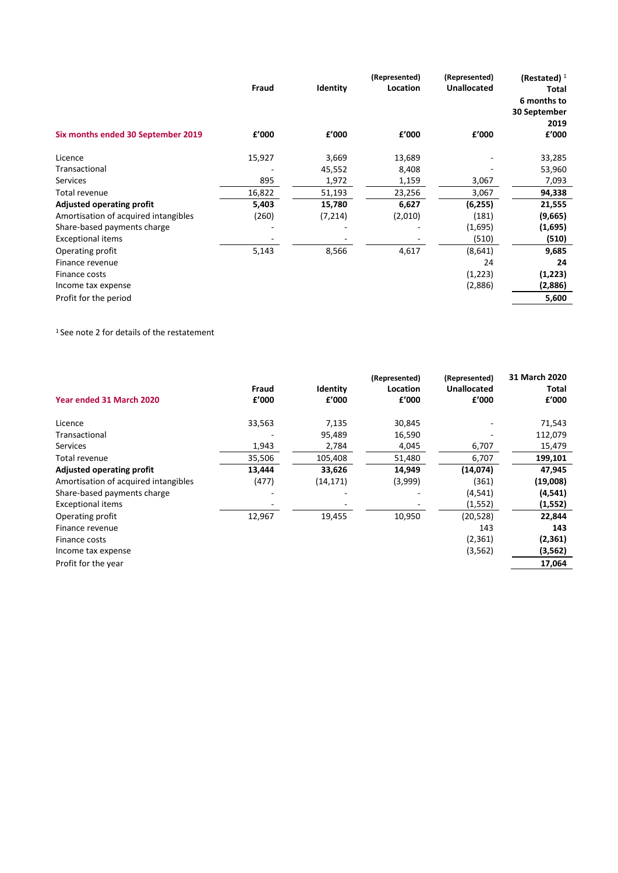|                                      | Fraud  | Identity | (Represented)<br>Location | (Represented)<br><b>Unallocated</b> | (Restated) $1$<br><b>Total</b><br>6 months to<br>30 September<br>2019 |
|--------------------------------------|--------|----------|---------------------------|-------------------------------------|-----------------------------------------------------------------------|
| Six months ended 30 September 2019   | f'000  | f'000    | f'000                     | £'000                               | f'000                                                                 |
| Licence                              | 15,927 | 3,669    | 13,689                    |                                     | 33,285                                                                |
| Transactional                        |        | 45,552   | 8,408                     |                                     | 53,960                                                                |
| <b>Services</b>                      | 895    | 1,972    | 1,159                     | 3,067                               | 7,093                                                                 |
| Total revenue                        | 16,822 | 51,193   | 23,256                    | 3,067                               | 94,338                                                                |
| <b>Adjusted operating profit</b>     | 5,403  | 15,780   | 6,627                     | (6, 255)                            | 21,555                                                                |
| Amortisation of acquired intangibles | (260)  | (7, 214) | (2,010)                   | (181)                               | (9,665)                                                               |
| Share-based payments charge          |        |          |                           | (1,695)                             | (1,695)                                                               |
| <b>Exceptional items</b>             |        |          |                           | (510)                               | (510)                                                                 |
| Operating profit                     | 5,143  | 8,566    | 4,617                     | (8,641)                             | 9,685                                                                 |
| Finance revenue                      |        |          |                           | 24                                  | 24                                                                    |
| Finance costs                        |        |          |                           | (1,223)                             | (1,223)                                                               |
| Income tax expense                   |        |          |                           | (2,886)                             | (2,886)                                                               |
| Profit for the period                |        |          |                           |                                     | 5,600                                                                 |

<sup>1</sup> See note 2 for details of the restatement

|                                      |        |                 | (Represented) | (Represented)      | 31 March 2020 |
|--------------------------------------|--------|-----------------|---------------|--------------------|---------------|
|                                      | Fraud  | <b>Identity</b> | Location      | <b>Unallocated</b> | Total         |
| Year ended 31 March 2020             | £'000  | f'000           | f'000         | £'000              | £'000         |
| Licence                              | 33,563 | 7,135           | 30,845        |                    | 71,543        |
| Transactional                        |        | 95,489          | 16,590        |                    | 112,079       |
| <b>Services</b>                      | 1,943  | 2,784           | 4,045         | 6,707              | 15,479        |
| Total revenue                        | 35,506 | 105,408         | 51,480        | 6,707              | 199,101       |
| <b>Adjusted operating profit</b>     | 13,444 | 33,626          | 14,949        | (14,074)           | 47,945        |
| Amortisation of acquired intangibles | (477)  | (14, 171)       | (3,999)       | (361)              | (19,008)      |
| Share-based payments charge          |        |                 |               | (4, 541)           | (4, 541)      |
| <b>Exceptional items</b>             |        |                 |               | (1, 552)           | (1, 552)      |
| Operating profit                     | 12,967 | 19,455          | 10,950        | (20, 528)          | 22,844        |
| Finance revenue                      |        |                 |               | 143                | 143           |
| Finance costs                        |        |                 |               | (2, 361)           | (2, 361)      |
| Income tax expense                   |        |                 |               | (3, 562)           | (3,562)       |
| Profit for the year                  |        |                 |               |                    | 17,064        |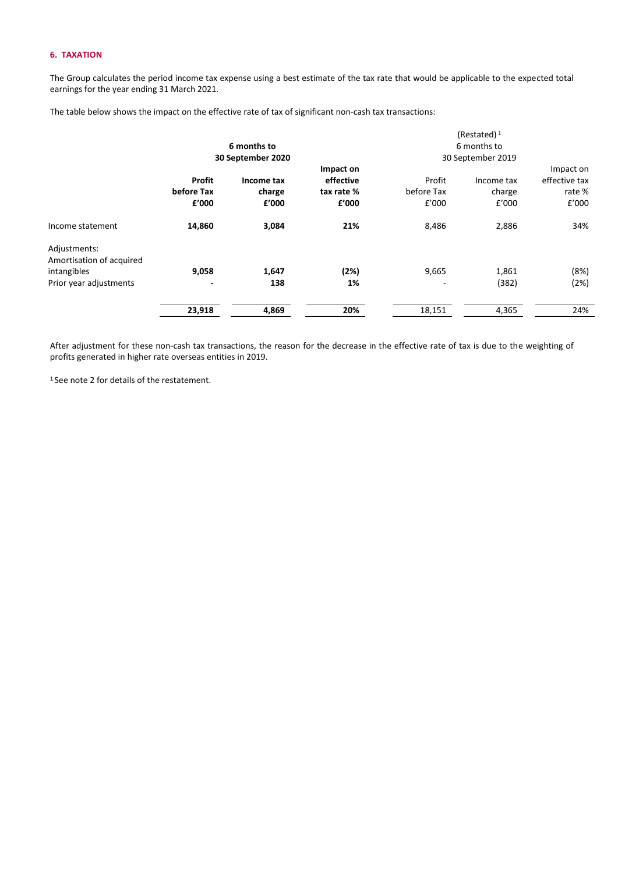## **6. TAXATION**

The Group calculates the period income tax expense using a best estimate of the tax rate that would be applicable to the expected total earnings for the year ending 31 March 2021.

The table below shows the impact on the effective rate of tax of significant non-cash tax transactions:

|                                                                                   | 6 months to                       |                                                    |                                               | (Restated) $1$<br>6 months to     |                                                    |                                              |
|-----------------------------------------------------------------------------------|-----------------------------------|----------------------------------------------------|-----------------------------------------------|-----------------------------------|----------------------------------------------------|----------------------------------------------|
|                                                                                   | Profit<br>before Tax<br>f'000     | 30 September 2020<br>Income tax<br>charge<br>f'000 | Impact on<br>effective<br>tax rate %<br>f'000 | Profit<br>before Tax<br>f'000     | 30 September 2019<br>Income tax<br>charge<br>f'000 | Impact on<br>effective tax<br>rate%<br>f'000 |
| Income statement                                                                  | 14,860                            | 3,084                                              | 21%                                           | 8,486                             | 2,886                                              | 34%                                          |
| Adjustments:<br>Amortisation of acquired<br>intangibles<br>Prior year adjustments | 9,058<br>$\overline{\phantom{a}}$ | 1,647<br>138                                       | (2%)<br>1%                                    | 9,665<br>$\overline{\phantom{a}}$ | 1,861<br>(382)                                     | (8%)<br>(2%)                                 |
|                                                                                   | 23,918                            | 4,869                                              | 20%                                           | 18,151                            | 4,365                                              | 24%                                          |

After adjustment for these non-cash tax transactions, the reason for the decrease in the effective rate of tax is due to the weighting of profits generated in higher rate overseas entities in 2019.

1 See note 2 for details of the restatement.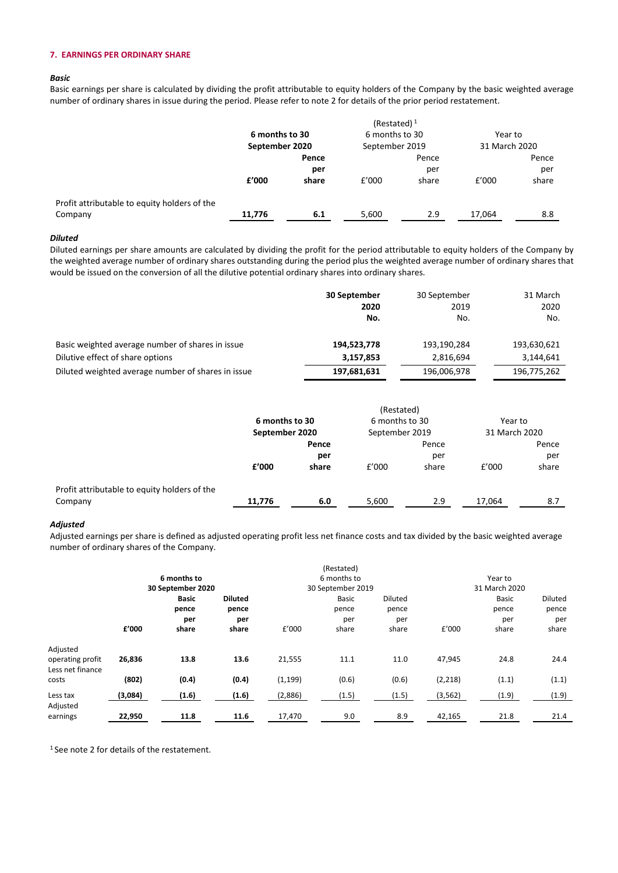## **7. EARNINGS PER ORDINARY SHARE**

#### *Basic*

Basic earnings per share is calculated by dividing the profit attributable to equity holders of the Company by the basic weighted average number of ordinary shares in issue during the period. Please refer to note 2 for details of the prior period restatement.

|                                              | (Restated) $1$                   |       |                |       |               |       |  |
|----------------------------------------------|----------------------------------|-------|----------------|-------|---------------|-------|--|
|                                              | 6 months to 30<br>September 2020 |       | 6 months to 30 |       | Year to       |       |  |
|                                              |                                  |       | September 2019 |       | 31 March 2020 |       |  |
|                                              |                                  | Pence |                | Pence |               | Pence |  |
|                                              |                                  | per   |                | per   |               | per   |  |
|                                              | f'000                            | share | f'000          | share | f'000         | share |  |
| Profit attributable to equity holders of the |                                  |       |                |       |               |       |  |
| Company                                      | 11,776                           | 6.1   | 5,600          | 2.9   | 17,064        | 8.8   |  |

#### *Diluted*

Diluted earnings per share amounts are calculated by dividing the profit for the period attributable to equity holders of the Company by the weighted average number of ordinary shares outstanding during the period plus the weighted average number of ordinary shares that would be issued on the conversion of all the dilutive potential ordinary shares into ordinary shares.

|                                                    | 30 September | 30 September | 31 March    |
|----------------------------------------------------|--------------|--------------|-------------|
|                                                    | 2020         | 2019         | 2020        |
|                                                    | No.          | No.          | No.         |
| Basic weighted average number of shares in issue   | 194,523,778  | 193,190,284  | 193,630,621 |
| Dilutive effect of share options                   | 3,157,853    | 2,816,694    | 3,144,641   |
| Diluted weighted average number of shares in issue | 197,681,631  | 196,006,978  | 196,775,262 |

| 6 months to 30<br>September 2020 |       | 6 months to 30<br>September 2019 |       | Year to<br>31 March 2020 |       |
|----------------------------------|-------|----------------------------------|-------|--------------------------|-------|
|                                  |       |                                  |       |                          |       |
|                                  | per   |                                  | per   |                          | per   |
| f'000                            | share | £'000                            | share | f'000                    | share |
|                                  |       |                                  |       |                          |       |
| 11,776                           | 6.0   | 5,600                            | 2.9   | 17.064                   | 8.7   |
|                                  |       |                                  |       | (Restated)               |       |

## *Adjusted*

Adjusted earnings per share is defined as adjusted operating profit less net finance costs and tax divided by the basic weighted average number of ordinary shares of the Company.

|                                                  |         | 6 months to<br>30 September 2020 |                         |          | (Restated)<br>6 months to<br>30 September 2019 |                  |          | Year to<br>31 March 2020 |                  |  |
|--------------------------------------------------|---------|----------------------------------|-------------------------|----------|------------------------------------------------|------------------|----------|--------------------------|------------------|--|
|                                                  |         | <b>Basic</b><br>pence            | <b>Diluted</b><br>pence |          | Basic<br>pence                                 | Diluted<br>pence |          | Basic<br>pence           | Diluted<br>pence |  |
|                                                  | £'000   | per<br>share                     | per<br>share            | £'000    | per<br>share                                   | per<br>share     | £'000    | per<br>share             | per<br>share     |  |
| Adjusted<br>operating profit<br>Less net finance | 26,836  | 13.8                             | 13.6                    | 21,555   | 11.1                                           | 11.0             | 47,945   | 24.8                     | 24.4             |  |
| costs                                            | (802)   | (0.4)                            | (0.4)                   | (1, 199) | (0.6)                                          | (0.6)            | (2, 218) | (1.1)                    | (1.1)            |  |
| Less tax<br>Adjusted                             | (3,084) | (1.6)                            | (1.6)                   | (2,886)  | (1.5)                                          | (1.5)            | (3, 562) | (1.9)                    | (1.9)            |  |
| earnings                                         | 22,950  | 11.8                             | 11.6                    | 17,470   | 9.0                                            | 8.9              | 42,165   | 21.8                     | 21.4             |  |

<sup>1</sup> See note 2 for details of the restatement.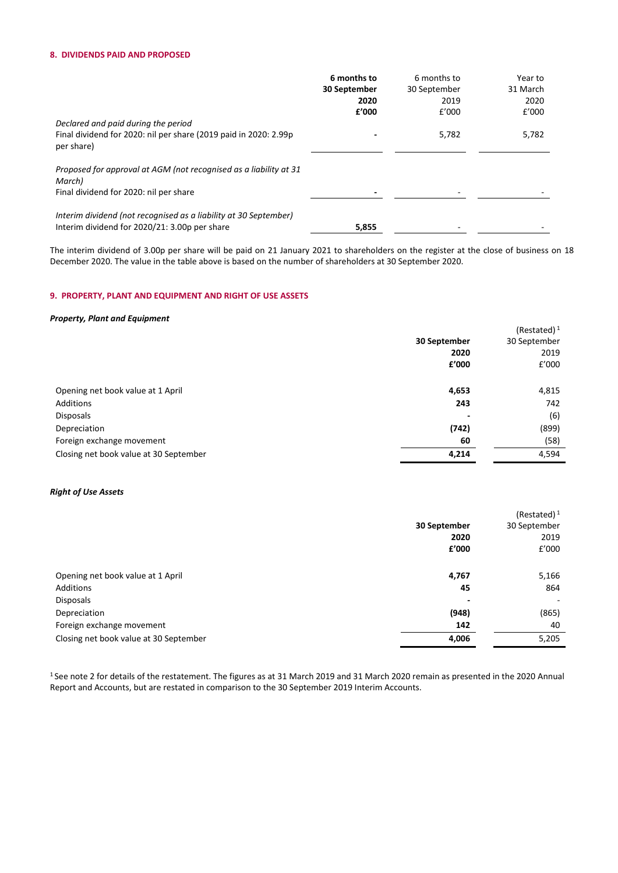## **8. DIVIDENDS PAID AND PROPOSED**

|                                                                                                                       | 6 months to<br>30 September<br>2020 | 6 months to<br>30 September<br>2019 | Year to<br>31 March<br>2020 |
|-----------------------------------------------------------------------------------------------------------------------|-------------------------------------|-------------------------------------|-----------------------------|
| Declared and paid during the period<br>Final dividend for 2020: nil per share (2019 paid in 2020: 2.99p<br>per share) | £'000                               | E'000<br>5,782                      | E'000<br>5,782              |
| Proposed for approval at AGM (not recognised as a liability at 31<br>March)<br>Final dividend for 2020: nil per share |                                     |                                     |                             |
| Interim dividend (not recognised as a liability at 30 September)<br>Interim dividend for 2020/21: 3.00p per share     | 5,855                               |                                     |                             |

The interim dividend of 3.00p per share will be paid on 21 January 2021 to shareholders on the register at the close of business on 18 December 2020. The value in the table above is based on the number of shareholders at 30 September 2020.

## **9. PROPERTY, PLANT AND EQUIPMENT AND RIGHT OF USE ASSETS**

## *Property, Plant and Equipment*

|                                        |              | (Restated) $1$ |
|----------------------------------------|--------------|----------------|
|                                        | 30 September | 30 September   |
|                                        | 2020         | 2019           |
|                                        | f'000        | £'000          |
| Opening net book value at 1 April      | 4,653        | 4,815          |
| Additions                              | 243          | 742            |
| Disposals                              |              | (6)            |
| Depreciation                           | (742)        | (899)          |
| Foreign exchange movement              | 60           | (58)           |
| Closing net book value at 30 September | 4,214        | 4,594          |

## *Right of Use Assets*

|                                        |                | (Restated) $1$ |
|----------------------------------------|----------------|----------------|
|                                        | 30 September   | 30 September   |
|                                        | 2020           | 2019           |
|                                        | f'000          | £'000          |
| Opening net book value at 1 April      | 4,767          | 5,166          |
| Additions                              | 45             | 864            |
| Disposals                              | $\overline{a}$ |                |
| Depreciation                           | (948)          | (865)          |
| Foreign exchange movement              | 142            | 40             |
| Closing net book value at 30 September | 4,006          | 5,205          |

<sup>1</sup> See note 2 for details of the restatement. The figures as at 31 March 2019 and 31 March 2020 remain as presented in the 2020 Annual Report and Accounts, but are restated in comparison to the 30 September 2019 Interim Accounts.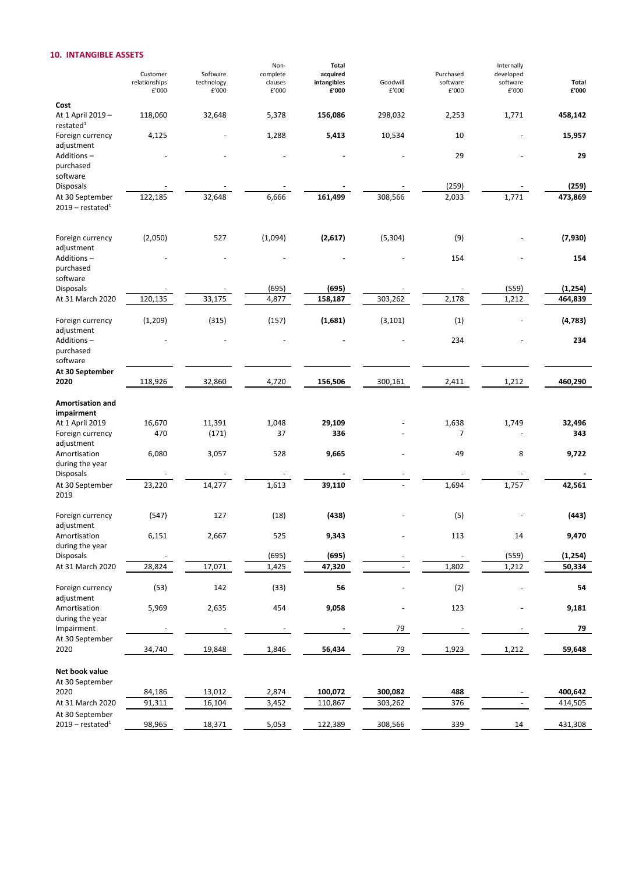## **10. INTANGIBLE ASSETS**

|                                                   |                        |                     | Non-             | Total                |                   |                   | Internally        |                |
|---------------------------------------------------|------------------------|---------------------|------------------|----------------------|-------------------|-------------------|-------------------|----------------|
|                                                   | Customer               | Software            | complete         | acquired             |                   | Purchased         | developed         |                |
|                                                   | relationships<br>£'000 | technology<br>£'000 | clauses<br>£'000 | intangibles<br>£'000 | Goodwill<br>£'000 | software<br>£'000 | software<br>£'000 | Total<br>£'000 |
| Cost                                              |                        |                     |                  |                      |                   |                   |                   |                |
| At 1 April 2019 -<br>restated <sup>1</sup>        | 118,060                | 32,648              | 5,378            | 156,086              | 298,032           | 2,253             | 1,771             | 458,142        |
| Foreign currency<br>adjustment                    | 4,125                  |                     | 1,288            | 5,413                | 10,534            | 10                |                   | 15,957         |
| Additions-<br>purchased                           |                        |                     |                  |                      |                   | 29                |                   | 29             |
| software<br><b>Disposals</b>                      |                        |                     |                  |                      |                   | (259)             |                   | (259)          |
| At 30 September<br>$2019$ – restated <sup>1</sup> | 122,185                | 32,648              | 6,666            | 161,499              | 308,566           | 2,033             | 1,771             | 473,869        |
| Foreign currency<br>adjustment                    | (2,050)                | 527                 | (1,094)          | (2,617)              | (5, 304)          | (9)               |                   | (7,930)        |
| Additions-<br>purchased<br>software               |                        |                     |                  |                      |                   | 154               |                   | 154            |
| <b>Disposals</b>                                  |                        |                     | (695)            | (695)                |                   |                   | (559)             | (1, 254)       |
| At 31 March 2020                                  | 120,135                | 33,175              | 4,877            | 158,187              | 303,262           | 2,178             | 1,212             | 464,839        |
| Foreign currency<br>adjustment                    | (1, 209)               | (315)               | (157)            | (1,681)              | (3, 101)          | (1)               |                   | (4, 783)       |
| Additions-<br>purchased<br>software               |                        |                     |                  |                      |                   | 234               |                   | 234            |
| At 30 September<br>2020                           | 118,926                | 32,860              | 4,720            | 156,506              | 300,161           | 2,411             | 1,212             | 460,290        |
| Amortisation and<br>impairment                    |                        |                     |                  |                      |                   |                   |                   |                |
| At 1 April 2019                                   | 16,670                 | 11,391              | 1,048            | 29,109               |                   | 1,638             | 1,749             | 32,496         |
| Foreign currency<br>adjustment                    | 470                    | (171)               | 37               | 336                  |                   | 7                 |                   | 343            |
| Amortisation<br>during the year                   | 6,080                  | 3,057               | 528              | 9,665                |                   | 49                | 8                 | 9,722          |
| <b>Disposals</b>                                  |                        |                     |                  |                      |                   |                   |                   |                |
| At 30 September<br>2019                           | 23,220                 | 14,277              | 1,613            | 39,110               |                   | 1,694             | 1,757             | 42,561         |
| Foreign currency<br>adjustment                    | (547)                  | 127                 | (18)             | (438)                |                   | (5)               |                   | (443)          |
| Amortisation<br>during the year                   | 6,151                  | 2,667               | 525              | 9,343                |                   | 113               | 14                | 9,470          |
| Disposals                                         |                        |                     | (695)            | (695)                |                   |                   | (559)             | (1, 254)       |
| At 31 March 2020                                  | 28,824                 | 17,071              | 1,425            | 47,320               |                   | 1,802             | 1,212             | 50,334         |
| Foreign currency<br>adjustment                    | (53)                   | 142                 | (33)             | 56                   |                   | (2)               |                   | 54             |
| Amortisation<br>during the year                   | 5,969                  | 2,635               | 454              | 9,058                |                   | 123               |                   | 9,181          |
| Impairment                                        |                        |                     |                  |                      | 79                |                   |                   | 79             |
| At 30 September<br>2020                           | 34,740                 | 19,848              | 1,846            | 56,434               | 79                | 1,923             | 1,212             | 59,648         |
| Net book value<br>At 30 September                 |                        |                     |                  |                      |                   |                   |                   |                |
| 2020                                              | 84,186                 | 13,012              | 2,874            | 100,072              | 300,082           | 488               |                   | 400,642        |
| At 31 March 2020                                  | 91,311                 | 16,104              | 3,452            | 110,867              | 303,262           | 376               |                   | 414,505        |
| At 30 September<br>$2019$ – restated <sup>1</sup> | 98,965                 | 18,371              | 5,053            | 122,389              | 308,566           | 339               | 14                | 431,308        |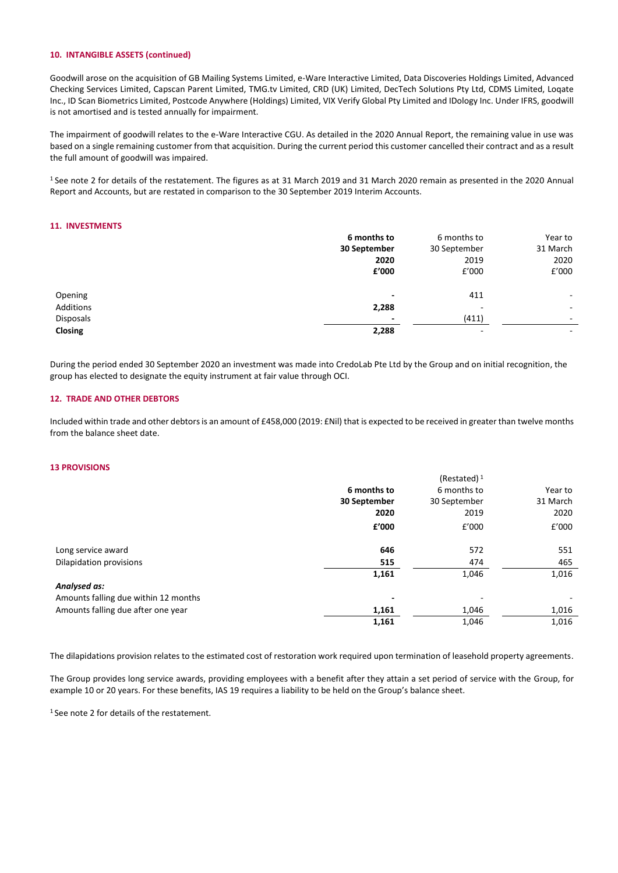## **10. INTANGIBLE ASSETS (continued)**

Goodwill arose on the acquisition of GB Mailing Systems Limited, e-Ware Interactive Limited, Data Discoveries Holdings Limited, Advanced Checking Services Limited, Capscan Parent Limited, TMG.tv Limited, CRD (UK) Limited, DecTech Solutions Pty Ltd, CDMS Limited, Loqate Inc., ID Scan Biometrics Limited, Postcode Anywhere (Holdings) Limited, VIX Verify Global Pty Limited and IDology Inc. Under IFRS, goodwill is not amortised and is tested annually for impairment.

The impairment of goodwill relates to the e-Ware Interactive CGU. As detailed in the 2020 Annual Report, the remaining value in use was based on a single remaining customer from that acquisition. During the current period this customer cancelled their contract and as a result the full amount of goodwill was impaired.

<sup>1</sup> See note 2 for details of the restatement. The figures as at 31 March 2019 and 31 March 2020 remain as presented in the 2020 Annual Report and Accounts, but are restated in comparison to the 30 September 2019 Interim Accounts.

## **11. INVESTMENTS**

|           | 6 months to              | 6 months to              | Year to                  |
|-----------|--------------------------|--------------------------|--------------------------|
|           | 30 September             | 30 September             | 31 March                 |
|           | 2020                     | 2019                     | 2020                     |
|           | £'000                    | E'000                    | f'000                    |
| Opening   | ٠                        | 411                      | ۰.                       |
| Additions | 2,288                    | $\overline{\phantom{0}}$ | ٠                        |
| Disposals | $\overline{\phantom{a}}$ | (411)                    | $\sim$                   |
| Closing   | 2,288                    | $\sim$                   | $\overline{\phantom{a}}$ |

During the period ended 30 September 2020 an investment was made into CredoLab Pte Ltd by the Group and on initial recognition, the group has elected to designate the equity instrument at fair value through OCI.

## **12. TRADE AND OTHER DEBTORS**

Included within trade and other debtors is an amount of £458,000 (2019: £Nil) that is expected to be received in greater than twelve months from the balance sheet date.

#### **13 PROVISIONS**

|                          | (Restated) $1$ |          |
|--------------------------|----------------|----------|
| 6 months to              | 6 months to    | Year to  |
| 30 September             | 30 September   | 31 March |
| 2020                     | 2019           | 2020     |
| £'000                    | f'000          | £'000    |
| 646                      | 572            | 551      |
| 515                      | 474            | 465      |
| 1,161                    | 1,046          | 1,016    |
|                          |                |          |
| $\overline{\phantom{a}}$ | ٠              |          |
| 1,161                    | 1,046          | 1,016    |
| 1,161                    | 1,046          | 1,016    |
|                          |                |          |

The dilapidations provision relates to the estimated cost of restoration work required upon termination of leasehold property agreements.

The Group provides long service awards, providing employees with a benefit after they attain a set period of service with the Group, for example 10 or 20 years. For these benefits, IAS 19 requires a liability to be held on the Group's balance sheet.

1 See note 2 for details of the restatement.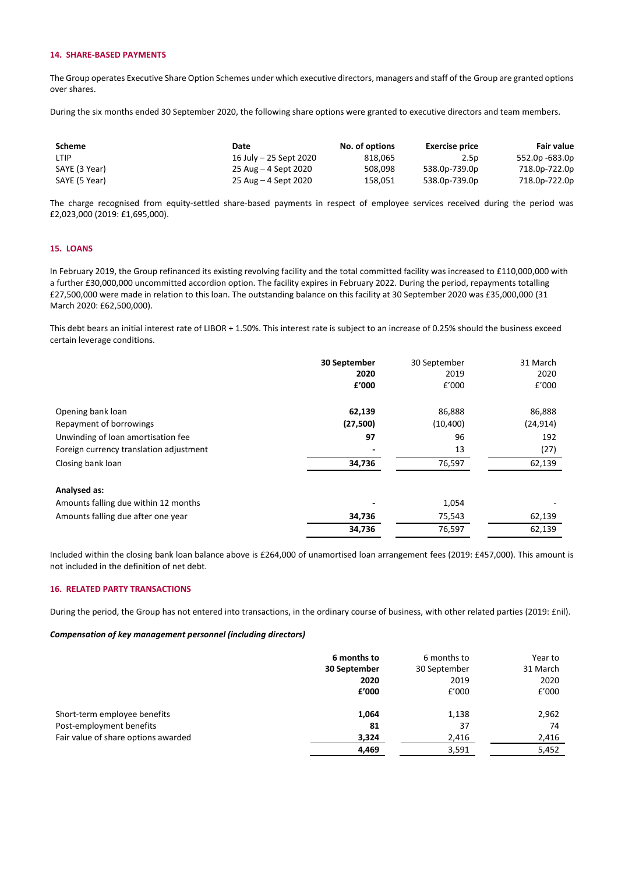## **14. SHARE-BASED PAYMENTS**

The Group operates Executive Share Option Schemes under which executive directors, managers and staff of the Group are granted options over shares.

During the six months ended 30 September 2020, the following share options were granted to executive directors and team members.

| Scheme        | Date                   | No. of options | <b>Exercise price</b> | <b>Fair value</b> |
|---------------|------------------------|----------------|-----------------------|-------------------|
| <b>LTIP</b>   | 16 July - 25 Sept 2020 | 818.065        | 2.5p                  | 552.0p -683.0p    |
| SAYE (3 Year) | 25 Aug – 4 Sept 2020   | 508.098        | 538.0p-739.0p         | 718.0p-722.0p     |
| SAYE (5 Year) | 25 Aug – 4 Sept 2020   | 158.051        | 538.0p-739.0p         | 718.0p-722.0p     |

The charge recognised from equity-settled share-based payments in respect of employee services received during the period was £2,023,000 (2019: £1,695,000).

## **15. LOANS**

In February 2019, the Group refinanced its existing revolving facility and the total committed facility was increased to £110,000,000 with a further £30,000,000 uncommitted accordion option. The facility expires in February 2022. During the period, repayments totalling £27,500,000 were made in relation to this loan. The outstanding balance on this facility at 30 September 2020 was £35,000,000 (31 March 2020: £62,500,000).

This debt bears an initial interest rate of LIBOR + 1.50%. This interest rate is subject to an increase of 0.25% should the business exceed certain leverage conditions.

|                                         | 30 September<br>2020<br>£'000 | 30 September<br>2019<br>f'000 | 31 March<br>2020<br>£'000 |
|-----------------------------------------|-------------------------------|-------------------------------|---------------------------|
| Opening bank loan                       | 62,139                        | 86,888                        | 86,888                    |
| Repayment of borrowings                 | (27, 500)                     | (10, 400)                     | (24, 914)                 |
| Unwinding of loan amortisation fee      | 97                            | 96                            | 192                       |
| Foreign currency translation adjustment |                               | 13                            | (27)                      |
| Closing bank loan                       | 34,736                        | 76,597                        | 62,139                    |
| Analysed as:                            |                               |                               |                           |
| Amounts falling due within 12 months    |                               | 1,054                         |                           |
| Amounts falling due after one year      | 34,736                        | 75,543                        | 62,139                    |
|                                         | 34,736                        | 76,597                        | 62,139                    |

Included within the closing bank loan balance above is £264,000 of unamortised loan arrangement fees (2019: £457,000). This amount is not included in the definition of net debt.

#### **16. RELATED PARTY TRANSACTIONS**

During the period, the Group has not entered into transactions, in the ordinary course of business, with other related parties (2019: £nil).

## *Compensation of key management personnel (including directors)*

|                                     | 6 months to  | 6 months to  | Year to  |
|-------------------------------------|--------------|--------------|----------|
|                                     | 30 September | 30 September | 31 March |
|                                     | 2020         | 2019         | 2020     |
|                                     | f'000        | £'000        | E'000    |
| Short-term employee benefits        | 1,064        | 1,138        | 2,962    |
| Post-employment benefits            | 81           | 37           | 74       |
| Fair value of share options awarded | 3,324        | 2,416        | 2,416    |
|                                     | 4,469        | 3,591        | 5,452    |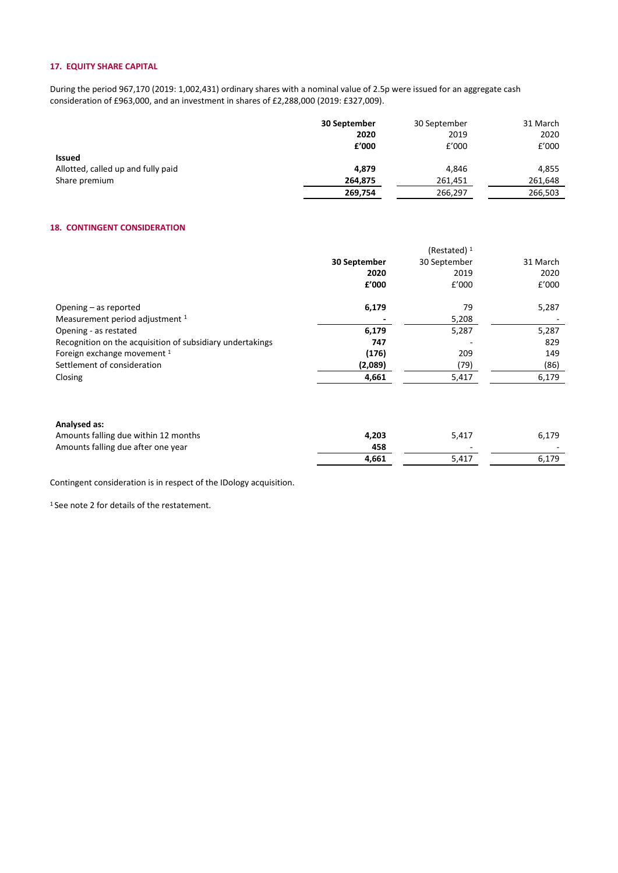## **17. EQUITY SHARE CAPITAL**

During the period 967,170 (2019: 1,002,431) ordinary shares with a nominal value of 2.5p were issued for an aggregate cash consideration of £963,000, and an investment in shares of £2,288,000 (2019: £327,009).

|                                    | 30 September | 30 September | 31 March |
|------------------------------------|--------------|--------------|----------|
|                                    | 2020         | 2019         | 2020     |
|                                    | £'000        | £'000        | £'000    |
| Issued                             |              |              |          |
| Allotted, called up and fully paid | 4.879        | 4,846        | 4,855    |
| Share premium                      | 264,875      | 261,451      | 261,648  |
|                                    | 269,754      | 266,297      | 266,503  |

## **18. CONTINGENT CONSIDERATION**

|                                                           |              | (Restated) $1$ |          |
|-----------------------------------------------------------|--------------|----------------|----------|
|                                                           | 30 September | 30 September   | 31 March |
|                                                           | 2020         | 2019           | 2020     |
|                                                           | f'000        | £'000          | E'000    |
| Opening $-$ as reported                                   | 6,179        | 79             | 5,287    |
| Measurement period adjustment 1                           |              | 5,208          |          |
| Opening - as restated                                     | 6,179        | 5,287          | 5,287    |
| Recognition on the acquisition of subsidiary undertakings | 747          |                | 829      |
| Foreign exchange movement 1                               | (176)        | 209            | 149      |
| Settlement of consideration                               | (2,089)      | (79)           | (86)     |
| Closing                                                   | 4,661        | 5,417          | 6,179    |
|                                                           |              |                |          |

## **Analysed as:** Amounts falling due within 12 months **4,203** 5,417 6,179 6,179<br>4 Amounts falling due after one year **458** Amounts falling due after one year **458** - 458 - 4,661 - 5,417 - 6,179 5,417

Contingent consideration is in respect of the IDology acquisition.

<sup>1</sup> See note 2 for details of the restatement.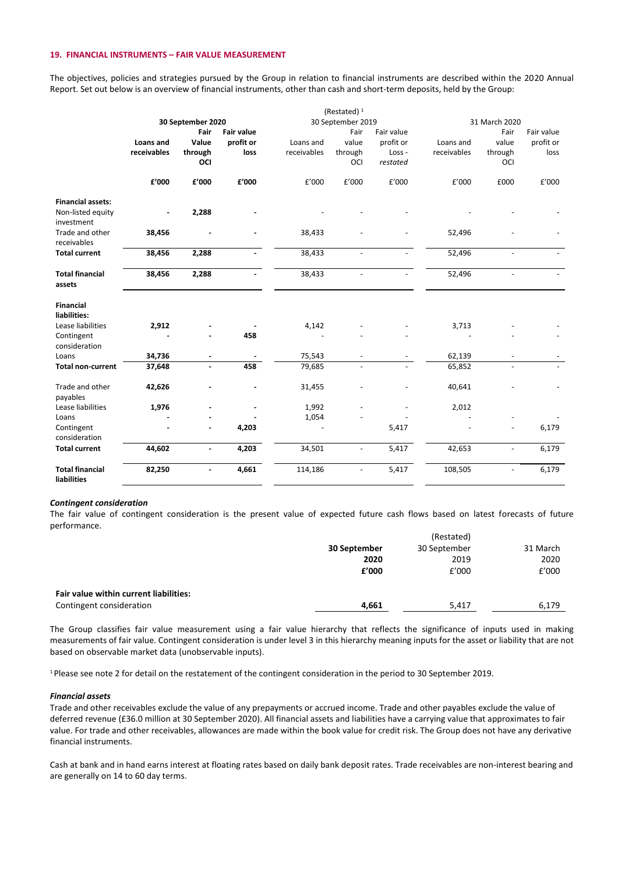#### **19. FINANCIAL INSTRUMENTS – FAIR VALUE MEASUREMENT**

The objectives, policies and strategies pursued by the Group in relation to financial instruments are described within the 2020 Annual Report. Set out below is an overview of financial instruments, other than cash and short-term deposits, held by the Group:

|                          |             |                   |                   |             | (Restated) $1$           |                |             |                          |            |
|--------------------------|-------------|-------------------|-------------------|-------------|--------------------------|----------------|-------------|--------------------------|------------|
|                          |             | 30 September 2020 |                   |             | 30 September 2019        |                |             | 31 March 2020            |            |
|                          |             | Fair              | <b>Fair value</b> |             | Fair                     | Fair value     |             | Fair                     | Fair value |
|                          | Loans and   | Value             | profit or         | Loans and   | value                    | profit or      | Loans and   | value                    | profit or  |
|                          | receivables | through           | loss              | receivables | through                  | Loss-          | receivables | through                  | loss       |
|                          |             | OCI               |                   |             | OCI                      | restated       |             | OCI                      |            |
|                          | £'000       | £'000             | £'000             | £'000       | £'000                    | £'000          | £'000       | £000                     | £'000      |
| <b>Financial assets:</b> |             |                   |                   |             |                          |                |             |                          |            |
| Non-listed equity        |             | 2,288             |                   |             |                          |                |             |                          |            |
| investment               |             |                   |                   |             |                          |                |             |                          |            |
| Trade and other          | 38,456      |                   |                   | 38,433      |                          |                | 52,496      |                          |            |
| receivables              |             |                   |                   |             |                          |                |             |                          |            |
| <b>Total current</b>     | 38,456      | 2,288             |                   | 38,433      | $\overline{\phantom{a}}$ | $\blacksquare$ | 52,496      | $\blacksquare$           |            |
| <b>Total financial</b>   | 38,456      | 2,288             |                   | 38,433      | $\frac{1}{2}$            |                | 52,496      | $\overline{\phantom{a}}$ |            |
| assets                   |             |                   |                   |             |                          |                |             |                          |            |
| <b>Financial</b>         |             |                   |                   |             |                          |                |             |                          |            |
| liabilities:             |             |                   |                   |             |                          |                |             |                          |            |
| Lease liabilities        | 2,912       |                   |                   | 4,142       |                          |                | 3,713       |                          |            |
| Contingent               |             | ä,                | 458               |             |                          |                |             |                          |            |
| consideration            |             |                   |                   |             |                          |                |             |                          |            |
| Loans                    | 34,736      |                   |                   | 75,543      |                          |                | 62,139      |                          |            |
| <b>Total non-current</b> | 37,648      | $\mathbf{r}$      | 458               | 79,685      | $\overline{\phantom{a}}$ |                | 65,852      | $\overline{\phantom{a}}$ |            |
| Trade and other          | 42,626      |                   |                   | 31,455      |                          |                | 40,641      |                          |            |
| payables                 |             |                   |                   |             |                          |                |             |                          |            |
| Lease liabilities        | 1,976       |                   |                   | 1,992       |                          |                | 2,012       |                          |            |
| Loans                    |             |                   |                   | 1,054       |                          |                |             |                          |            |
| Contingent               |             | $\blacksquare$    | 4,203             |             |                          | 5,417          |             | $\overline{a}$           | 6,179      |
| consideration            |             |                   |                   |             |                          |                |             |                          |            |
| <b>Total current</b>     | 44,602      | ÷.                | 4,203             | 34,501      | $\overline{\phantom{a}}$ | 5,417          | 42,653      | $\overline{a}$           | 6,179      |
| <b>Total financial</b>   | 82,250      |                   | 4,661             | 114,186     |                          | 5,417          | 108,505     |                          | 6,179      |
| <b>liabilities</b>       |             |                   |                   |             |                          |                |             |                          |            |

#### *Contingent consideration*

The fair value of contingent consideration is the present value of expected future cash flows based on latest forecasts of future performance.

|                                        | (Restated)   |              |          |
|----------------------------------------|--------------|--------------|----------|
|                                        | 30 September | 30 September | 31 March |
|                                        | 2020         | 2019         | 2020     |
|                                        | f'000        | £'000        | f'000    |
| Fair value within current liabilities: |              |              |          |
| Contingent consideration               | 4,661        | 5,417        | 6,179    |

The Group classifies fair value measurement using a fair value hierarchy that reflects the significance of inputs used in making measurements of fair value. Contingent consideration is under level 3 in this hierarchy meaning inputs for the asset or liability that are not based on observable market data (unobservable inputs).

<sup>1</sup> Please see note 2 for detail on the restatement of the contingent consideration in the period to 30 September 2019.

#### *Financial assets*

Trade and other receivables exclude the value of any prepayments or accrued income. Trade and other payables exclude the value of deferred revenue (£36.0 million at 30 September 2020). All financial assets and liabilities have a carrying value that approximates to fair value. For trade and other receivables, allowances are made within the book value for credit risk. The Group does not have any derivative financial instruments.

Cash at bank and in hand earns interest at floating rates based on daily bank deposit rates. Trade receivables are non-interest bearing and are generally on 14 to 60 day terms.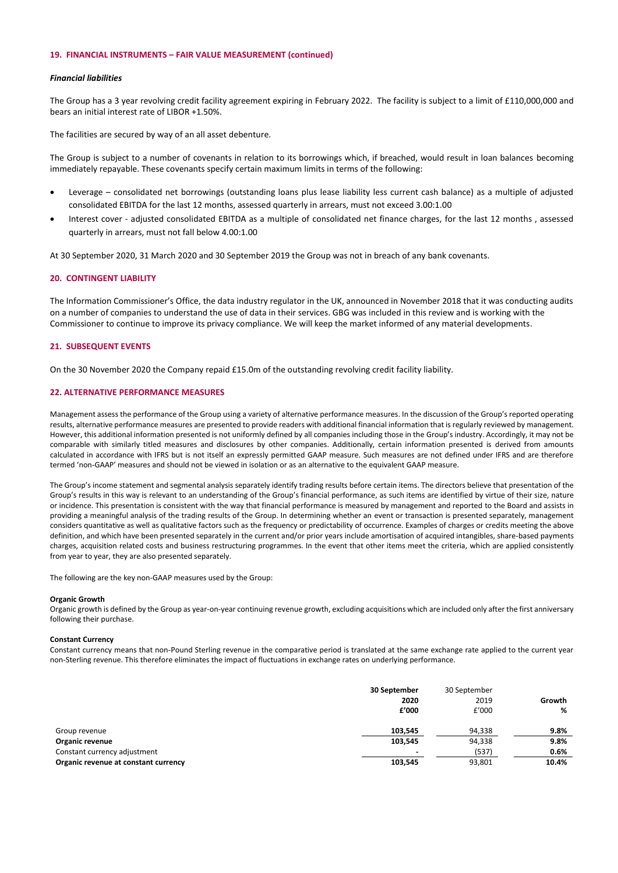#### **19. FINANCIAL INSTRUMENTS – FAIR VALUE MEASUREMENT (continued)**

#### *Financial liabilities*

The Group has a 3 year revolving credit facility agreement expiring in February 2022. The facility is subject to a limit of £110,000,000 and bears an initial interest rate of LIBOR +1.50%.

The facilities are secured by way of an all asset debenture.

The Group is subject to a number of covenants in relation to its borrowings which, if breached, would result in loan balances becoming immediately repayable. These covenants specify certain maximum limits in terms of the following:

- Leverage consolidated net borrowings (outstanding loans plus lease liability less current cash balance) as a multiple of adjusted consolidated EBITDA for the last 12 months, assessed quarterly in arrears, must not exceed 3.00:1.00
- Interest cover adjusted consolidated EBITDA as a multiple of consolidated net finance charges, for the last 12 months , assessed quarterly in arrears, must not fall below 4.00:1.00

At 30 September 2020, 31 March 2020 and 30 September 2019 the Group was not in breach of any bank covenants.

## **20. CONTINGENT LIABILITY**

The Information Commissioner's Office, the data industry regulator in the UK, announced in November 2018 that it was conducting audits on a number of companies to understand the use of data in their services. GBG was included in this review and is working with the Commissioner to continue to improve its privacy compliance. We will keep the market informed of any material developments.

### **21. SUBSEQUENT EVENTS**

On the 30 November 2020 the Company repaid £15.0m of the outstanding revolving credit facility liability.

#### **22. ALTERNATIVE PERFORMANCE MEASURES**

Management assess the performance of the Group using a variety of alternative performance measures. In the discussion of the Group's reported operating results, alternative performance measures are presented to provide readers with additional financial information that is regularly reviewed by management. However, this additional information presented is not uniformly defined by all companies including those in the Group's industry. Accordingly, it may not be comparable with similarly titled measures and disclosures by other companies. Additionally, certain information presented is derived from amounts calculated in accordance with IFRS but is not itself an expressly permitted GAAP measure. Such measures are not defined under IFRS and are therefore termed 'non-GAAP' measures and should not be viewed in isolation or as an alternative to the equivalent GAAP measure.

The Group's income statement and segmental analysis separately identify trading results before certain items. The directors believe that presentation of the Group's results in this way is relevant to an understanding of the Group's financial performance, as such items are identified by virtue of their size, nature or incidence. This presentation is consistent with the way that financial performance is measured by management and reported to the Board and assists in providing a meaningful analysis of the trading results of the Group. In determining whether an event or transaction is presented separately, management considers quantitative as well as qualitative factors such as the frequency or predictability of occurrence. Examples of charges or credits meeting the above definition, and which have been presented separately in the current and/or prior years include amortisation of acquired intangibles, share-based payments charges, acquisition related costs and business restructuring programmes. In the event that other items meet the criteria, which are applied consistently from year to year, they are also presented separately.

The following are the key non-GAAP measures used by the Group:

#### **Organic Growth**

Organic growth is defined by the Group as year-on-year continuing revenue growth, excluding acquisitions which are included only after the first anniversary following their purchase.

### **Constant Currency**

Constant currency means that non-Pound Sterling revenue in the comparative period is translated at the same exchange rate applied to the current year non-Sterling revenue. This therefore eliminates the impact of fluctuations in exchange rates on underlying performance.

|                                      | 30 September   | 30 September |        |
|--------------------------------------|----------------|--------------|--------|
|                                      | 2020           | 2019         | Growth |
|                                      | f'000          | £'000        | %      |
| Group revenue                        | 103.545        | 94,338       | 9.8%   |
| Organic revenue                      | 103,545        | 94,338       | 9.8%   |
| Constant currency adjustment         | $\blacksquare$ | (537)        | 0.6%   |
| Organic revenue at constant currency | 103,545        | 93,801       | 10.4%  |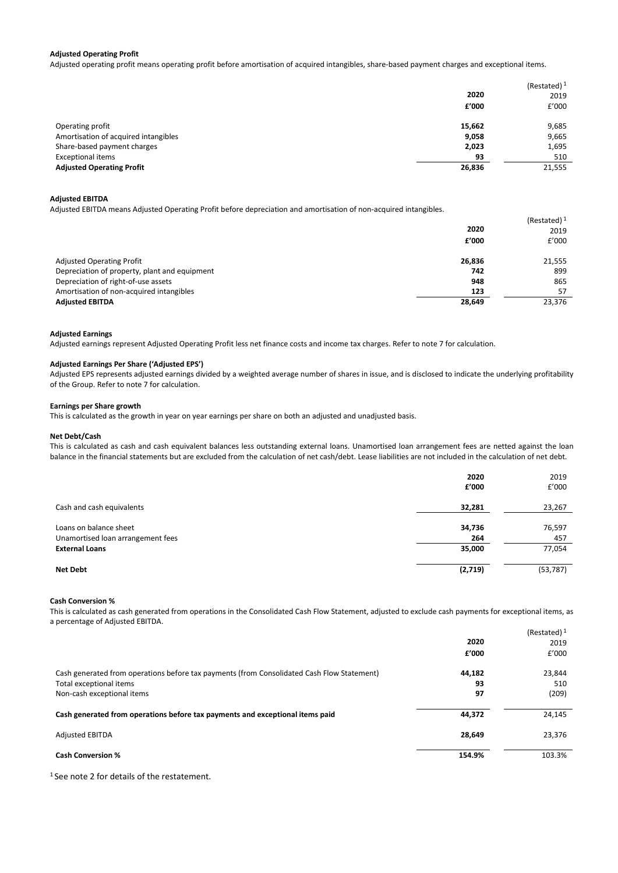#### **Adjusted Operating Profit**

Adjusted operating profit means operating profit before amortisation of acquired intangibles, share-based payment charges and exceptional items.

|                                      |        | (Restated) $1$ |
|--------------------------------------|--------|----------------|
|                                      | 2020   | 2019           |
|                                      | £'000  | £'000          |
| Operating profit                     | 15,662 | 9,685          |
| Amortisation of acquired intangibles | 9,058  | 9,665          |
| Share-based payment charges          | 2,023  | 1,695          |
| <b>Exceptional items</b>             | 93     | 510            |
| <b>Adjusted Operating Profit</b>     | 26,836 | 21,555         |

## **Adjusted EBITDA**

Adjusted EBITDA means Adjusted Operating Profit before depreciation and amortisation of non-acquired intangibles.

|                                               |        | (Restated) $1$ |
|-----------------------------------------------|--------|----------------|
|                                               | 2020   | 2019           |
|                                               | £'000  | f'000          |
| <b>Adjusted Operating Profit</b>              | 26,836 | 21,555         |
| Depreciation of property, plant and equipment | 742    | 899            |
| Depreciation of right-of-use assets           | 948    | 865            |
| Amortisation of non-acquired intangibles      | 123    | 57             |
| <b>Adjusted EBITDA</b>                        | 28,649 | 23,376         |

#### **Adjusted Earnings**

Adjusted earnings represent Adjusted Operating Profit less net finance costs and income tax charges. Refer to note 7 for calculation.

### **Adjusted Earnings Per Share ('Adjusted EPS')**

Adjusted EPS represents adjusted earnings divided by a weighted average number of shares in issue, and is disclosed to indicate the underlying profitability of the Group. Refer to note 7 for calculation.

#### **Earnings per Share growth**

This is calculated as the growth in year on year earnings per share on both an adjusted and unadjusted basis.

#### **Net Debt/Cash**

This is calculated as cash and cash equivalent balances less outstanding external loans. Unamortised loan arrangement fees are netted against the loan balance in the financial statements but are excluded from the calculation of net cash/debt. Lease liabilities are not included in the calculation of net debt.

|                                                                                      | 2020<br>£'000           | 2019<br>£'000           |
|--------------------------------------------------------------------------------------|-------------------------|-------------------------|
| Cash and cash equivalents                                                            | 32,281                  | 23,267                  |
| Loans on balance sheet<br>Unamortised loan arrangement fees<br><b>External Loans</b> | 34,736<br>264<br>35,000 | 76,597<br>457<br>77,054 |
| <b>Net Debt</b>                                                                      | (2,719)                 | (53, 787)               |

#### **Cash Conversion %**

This is calculated as cash generated from operations in the Consolidated Cash Flow Statement, adjusted to exclude cash payments for exceptional items, as a percentage of Adjusted EBITDA.

|                                                                                            |        | (Restated) $1$ |
|--------------------------------------------------------------------------------------------|--------|----------------|
|                                                                                            | 2020   | 2019           |
|                                                                                            | £'000  | £'000          |
| Cash generated from operations before tax payments (from Consolidated Cash Flow Statement) | 44.182 | 23,844         |
| Total exceptional items                                                                    | 93     | 510            |
| Non-cash exceptional items                                                                 | 97     | (209)          |
| Cash generated from operations before tax payments and exceptional items paid              | 44,372 | 24,145         |
| <b>Adjusted EBITDA</b>                                                                     | 28,649 | 23,376         |
| <b>Cash Conversion %</b>                                                                   | 154.9% | 103.3%         |

<sup>1</sup> See note 2 for details of the restatement.